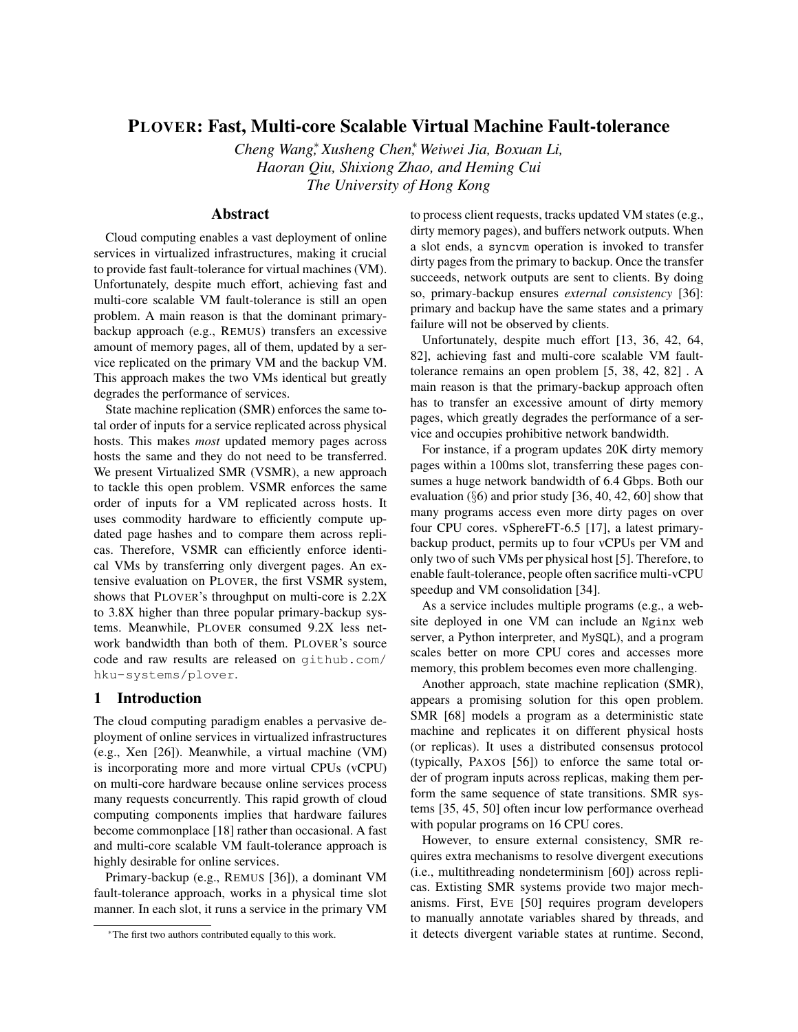# PLOVER: Fast, Multi-core Scalable Virtual Machine Fault-tolerance

*Cheng Wang*<sup>∗</sup> *, Xusheng Chen*<sup>∗</sup> *, Weiwei Jia, Boxuan Li, Haoran Qiu, Shixiong Zhao, and Heming Cui The University of Hong Kong*

# Abstract

Cloud computing enables a vast deployment of online services in virtualized infrastructures, making it crucial to provide fast fault-tolerance for virtual machines (VM). Unfortunately, despite much effort, achieving fast and multi-core scalable VM fault-tolerance is still an open problem. A main reason is that the dominant primarybackup approach (e.g., REMUS) transfers an excessive amount of memory pages, all of them, updated by a service replicated on the primary VM and the backup VM. This approach makes the two VMs identical but greatly degrades the performance of services.

State machine replication (SMR) enforces the same total order of inputs for a service replicated across physical hosts. This makes *most* updated memory pages across hosts the same and they do not need to be transferred. We present Virtualized SMR (VSMR), a new approach to tackle this open problem. VSMR enforces the same order of inputs for a VM replicated across hosts. It uses commodity hardware to efficiently compute updated page hashes and to compare them across replicas. Therefore, VSMR can efficiently enforce identical VMs by transferring only divergent pages. An extensive evaluation on PLOVER, the first VSMR system, shows that PLOVER's throughput on multi-core is 2.2X to 3.8X higher than three popular primary-backup systems. Meanwhile, PLOVER consumed 9.2X less network bandwidth than both of them. PLOVER's source code and raw results are released on [github.com/](github.com/hku-systems/plover) [hku-systems/plover](github.com/hku-systems/plover).

## 1 Introduction

The cloud computing paradigm enables a pervasive deployment of online services in virtualized infrastructures (e.g., Xen [\[26\]](#page-12-0)). Meanwhile, a virtual machine (VM) is incorporating more and more virtual CPUs (vCPU) on multi-core hardware because online services process many requests concurrently. This rapid growth of cloud computing components implies that hardware failures become commonplace [\[18\]](#page-12-1) rather than occasional. A fast and multi-core scalable VM fault-tolerance approach is highly desirable for online services.

Primary-backup (e.g., REMUS [\[36\]](#page-13-0)), a dominant VM fault-tolerance approach, works in a physical time slot manner. In each slot, it runs a service in the primary VM to process client requests, tracks updated VM states (e.g., dirty memory pages), and buffers network outputs. When a slot ends, a syncvm operation is invoked to transfer dirty pages from the primary to backup. Once the transfer succeeds, network outputs are sent to clients. By doing so, primary-backup ensures *external consistency* [\[36\]](#page-13-0): primary and backup have the same states and a primary failure will not be observed by clients.

Unfortunately, despite much effort [\[13,](#page-12-2) [36,](#page-13-0) [42,](#page-13-1) [64,](#page-14-0) [82\]](#page-15-0), achieving fast and multi-core scalable VM faulttolerance remains an open problem [\[5,](#page-12-3) [38,](#page-13-2) [42,](#page-13-1) [82\]](#page-15-0) . A main reason is that the primary-backup approach often has to transfer an excessive amount of dirty memory pages, which greatly degrades the performance of a service and occupies prohibitive network bandwidth.

For instance, if a program updates 20K dirty memory pages within a 100ms slot, transferring these pages consumes a huge network bandwidth of 6.4 Gbps. Both our evaluation (§[6\)](#page-6-0) and prior study [\[36,](#page-13-0) [40,](#page-13-3) [42,](#page-13-1) [60\]](#page-14-1) show that many programs access even more dirty pages on over four CPU cores. vSphereFT-6.5 [\[17\]](#page-12-4), a latest primarybackup product, permits up to four vCPUs per VM and only two of such VMs per physical host [\[5\]](#page-12-3). Therefore, to enable fault-tolerance, people often sacrifice multi-vCPU speedup and VM consolidation [\[34\]](#page-13-4).

As a service includes multiple programs (e.g., a website deployed in one VM can include an Nginx web server, a Python interpreter, and MySQL), and a program scales better on more CPU cores and accesses more memory, this problem becomes even more challenging.

Another approach, state machine replication (SMR), appears a promising solution for this open problem. SMR [\[68\]](#page-15-1) models a program as a deterministic state machine and replicates it on different physical hosts (or replicas). It uses a distributed consensus protocol (typically, PAXOS [\[56\]](#page-14-2)) to enforce the same total order of program inputs across replicas, making them perform the same sequence of state transitions. SMR systems [\[35,](#page-13-5) [45,](#page-13-6) [50\]](#page-14-3) often incur low performance overhead with popular programs on 16 CPU cores.

However, to ensure external consistency, SMR requires extra mechanisms to resolve divergent executions (i.e., multithreading nondeterminism [\[60\]](#page-14-1)) across replicas. Extisting SMR systems provide two major mechanisms. First, EVE [\[50\]](#page-14-3) requires program developers to manually annotate variables shared by threads, and it detects divergent variable states at runtime. Second,

<sup>∗</sup>The first two authors contributed equally to this work.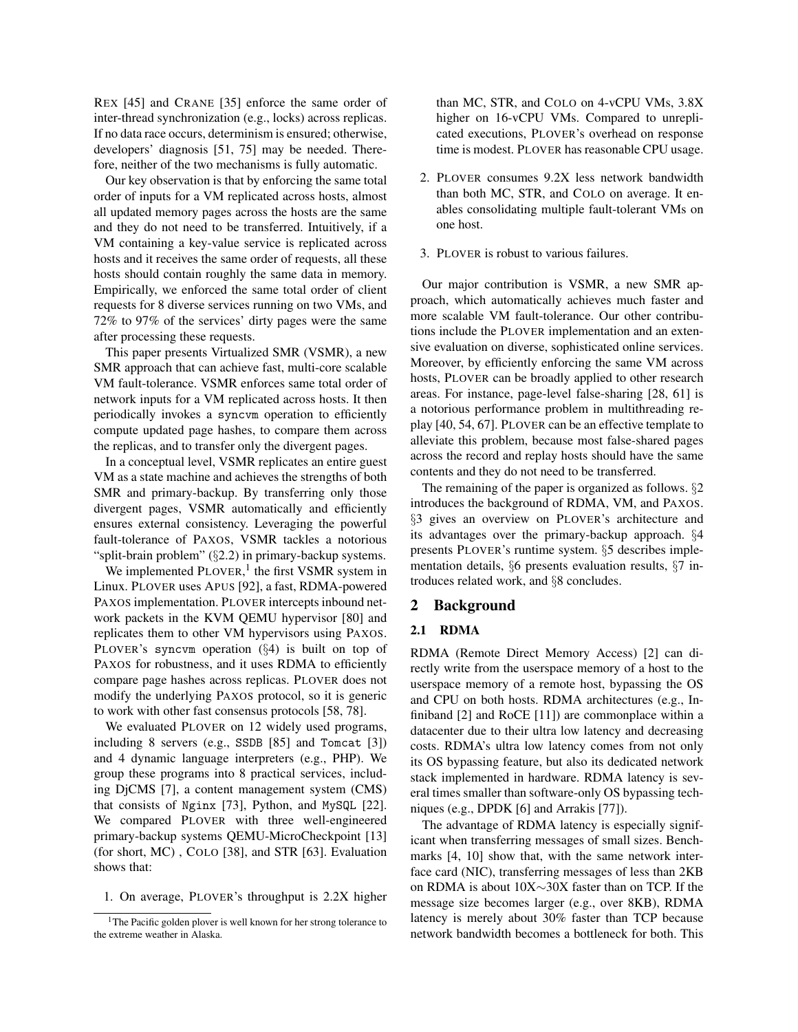REX [\[45\]](#page-13-6) and CRANE [\[35\]](#page-13-5) enforce the same order of inter-thread synchronization (e.g., locks) across replicas. If no data race occurs, determinism is ensured; otherwise, developers' diagnosis [\[51,](#page-14-4) [75\]](#page-15-2) may be needed. Therefore, neither of the two mechanisms is fully automatic.

Our key observation is that by enforcing the same total order of inputs for a VM replicated across hosts, almost all updated memory pages across the hosts are the same and they do not need to be transferred. Intuitively, if a VM containing a key-value service is replicated across hosts and it receives the same order of requests, all these hosts should contain roughly the same data in memory. Empirically, we enforced the same total order of client requests for 8 diverse services running on two VMs, and 72% to 97% of the services' dirty pages were the same after processing these requests.

This paper presents Virtualized SMR (VSMR), a new SMR approach that can achieve fast, multi-core scalable VM fault-tolerance. VSMR enforces same total order of network inputs for a VM replicated across hosts. It then periodically invokes a syncvm operation to efficiently compute updated page hashes, to compare them across the replicas, and to transfer only the divergent pages.

In a conceptual level, VSMR replicates an entire guest VM as a state machine and achieves the strengths of both SMR and primary-backup. By transferring only those divergent pages, VSMR automatically and efficiently ensures external consistency. Leveraging the powerful fault-tolerance of PAXOS, VSMR tackles a notorious "split-brain problem" (§[2.2\)](#page-2-0) in primary-backup systems.

We implemented PLOVER,<sup>[1](#page-1-0)</sup> the first VSMR system in Linux. PLOVER uses APUS [\[92\]](#page-16-0), a fast, RDMA-powered PAXOS implementation. PLOVER intercepts inbound network packets in the KVM QEMU hypervisor [\[80\]](#page-15-3) and replicates them to other VM hypervisors using PAXOS. PLOVER's syncvm operation (§[4\)](#page-4-0) is built on top of PAXOS for robustness, and it uses RDMA to efficiently compare page hashes across replicas. PLOVER does not modify the underlying PAXOS protocol, so it is generic to work with other fast consensus protocols [\[58,](#page-14-5) [78\]](#page-15-4).

We evaluated PLOVER on 12 widely used programs, including 8 servers (e.g., SSDB [\[85\]](#page-15-5) and Tomcat [\[3\]](#page-12-5)) and 4 dynamic language interpreters (e.g., PHP). We group these programs into 8 practical services, including DjCMS [\[7\]](#page-12-6), a content management system (CMS) that consists of Nginx [\[73\]](#page-15-6), Python, and MySQL [\[22\]](#page-12-7). We compared PLOVER with three well-engineered primary-backup systems QEMU-MicroCheckpoint [\[13\]](#page-12-2) (for short, MC) , COLO [\[38\]](#page-13-2), and STR [\[63\]](#page-14-6). Evaluation shows that:

1. On average, PLOVER's throughput is 2.2X higher

than MC, STR, and COLO on 4-vCPU VMs, 3.8X higher on 16-vCPU VMs. Compared to unreplicated executions, PLOVER's overhead on response time is modest. PLOVER has reasonable CPU usage.

- 2. PLOVER consumes 9.2X less network bandwidth than both MC, STR, and COLO on average. It enables consolidating multiple fault-tolerant VMs on one host.
- 3. PLOVER is robust to various failures.

Our major contribution is VSMR, a new SMR approach, which automatically achieves much faster and more scalable VM fault-tolerance. Our other contributions include the PLOVER implementation and an extensive evaluation on diverse, sophisticated online services. Moreover, by efficiently enforcing the same VM across hosts, PLOVER can be broadly applied to other research areas. For instance, page-level false-sharing [\[28,](#page-13-7) [61\]](#page-14-7) is a notorious performance problem in multithreading replay [\[40,](#page-13-3) [54,](#page-14-8) [67\]](#page-15-7). PLOVER can be an effective template to alleviate this problem, because most false-shared pages across the record and replay hosts should have the same contents and they do not need to be transferred.

The remaining of the paper is organized as follows. §[2](#page-1-1) introduces the background of RDMA, VM, and PAXOS. §[3](#page-3-0) gives an overview on PLOVER's architecture and its advantages over the primary-backup approach. §[4](#page-4-0) presents PLOVER's runtime system. §[5](#page-6-1) describes implementation details, §[6](#page-6-0) presents evaluation results, §[7](#page-11-0) introduces related work, and §[8](#page-11-1) concludes.

### <span id="page-1-1"></span>2 Background

## 2.1 RDMA

RDMA (Remote Direct Memory Access) [\[2\]](#page-12-8) can directly write from the userspace memory of a host to the userspace memory of a remote host, bypassing the OS and CPU on both hosts. RDMA architectures (e.g., Infiniband [\[2\]](#page-12-8) and RoCE [\[11\]](#page-12-9)) are commonplace within a datacenter due to their ultra low latency and decreasing costs. RDMA's ultra low latency comes from not only its OS bypassing feature, but also its dedicated network stack implemented in hardware. RDMA latency is several times smaller than software-only OS bypassing techniques (e.g., DPDK [\[6\]](#page-12-10) and Arrakis [\[77\]](#page-15-8)).

The advantage of RDMA latency is especially significant when transferring messages of small sizes. Benchmarks [\[4,](#page-12-11) [10\]](#page-12-12) show that, with the same network interface card (NIC), transferring messages of less than 2KB on RDMA is about 10X∼30X faster than on TCP. If the message size becomes larger (e.g., over 8KB), RDMA latency is merely about 30% faster than TCP because network bandwidth becomes a bottleneck for both. This

<span id="page-1-0"></span><sup>&</sup>lt;sup>1</sup>The Pacific golden plover is well known for her strong tolerance to the extreme weather in Alaska.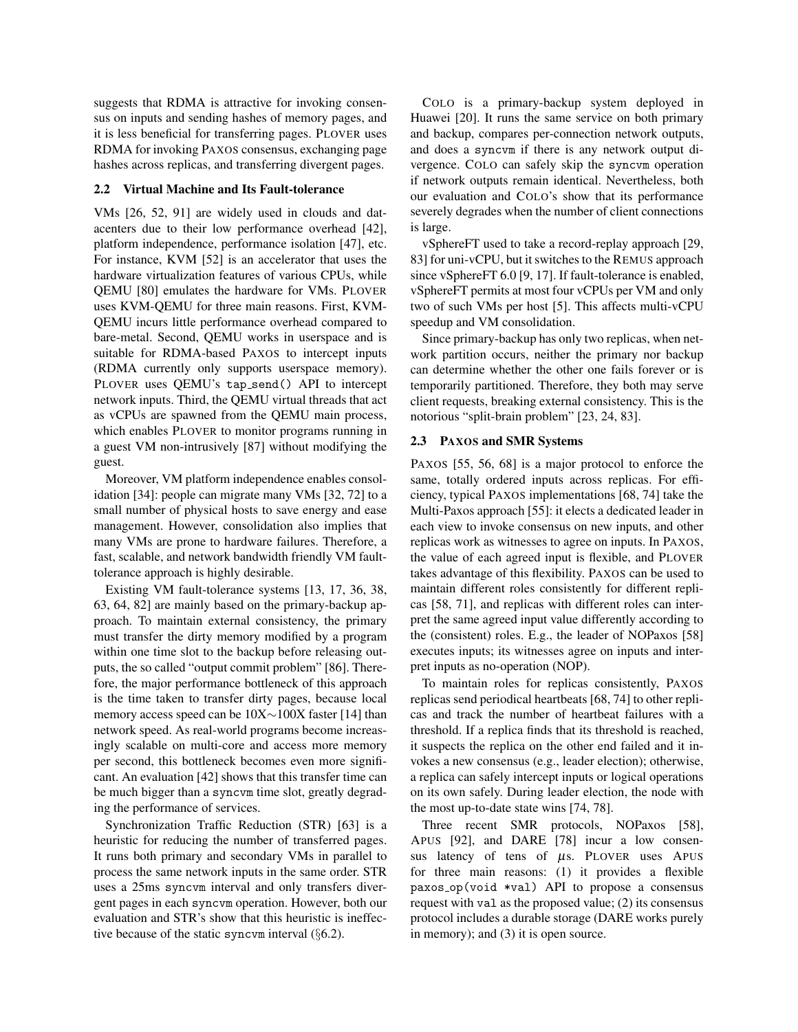suggests that RDMA is attractive for invoking consensus on inputs and sending hashes of memory pages, and it is less beneficial for transferring pages. PLOVER uses RDMA for invoking PAXOS consensus, exchanging page hashes across replicas, and transferring divergent pages.

#### <span id="page-2-0"></span>2.2 Virtual Machine and Its Fault-tolerance

VMs [\[26,](#page-12-0) [52,](#page-14-9) [91\]](#page-15-9) are widely used in clouds and datacenters due to their low performance overhead [\[42\]](#page-13-1), platform independence, performance isolation [\[47\]](#page-14-10), etc. For instance, KVM [\[52\]](#page-14-9) is an accelerator that uses the hardware virtualization features of various CPUs, while QEMU [\[80\]](#page-15-3) emulates the hardware for VMs. PLOVER uses KVM-QEMU for three main reasons. First, KVM-QEMU incurs little performance overhead compared to bare-metal. Second, QEMU works in userspace and is suitable for RDMA-based PAXOS to intercept inputs (RDMA currently only supports userspace memory). PLOVER uses QEMU's tap\_send() API to intercept network inputs. Third, the QEMU virtual threads that act as vCPUs are spawned from the QEMU main process, which enables PLOVER to monitor programs running in a guest VM non-intrusively [\[87\]](#page-15-10) without modifying the guest.

Moreover, VM platform independence enables consolidation [\[34\]](#page-13-4): people can migrate many VMs [\[32,](#page-13-8) [72\]](#page-15-11) to a small number of physical hosts to save energy and ease management. However, consolidation also implies that many VMs are prone to hardware failures. Therefore, a fast, scalable, and network bandwidth friendly VM faulttolerance approach is highly desirable.

Existing VM fault-tolerance systems [\[13,](#page-12-2) [17,](#page-12-4) [36,](#page-13-0) [38,](#page-13-2) [63,](#page-14-6) [64,](#page-14-0) [82\]](#page-15-0) are mainly based on the primary-backup approach. To maintain external consistency, the primary must transfer the dirty memory modified by a program within one time slot to the backup before releasing outputs, the so called "output commit problem" [\[86\]](#page-15-12). Therefore, the major performance bottleneck of this approach is the time taken to transfer dirty pages, because local memory access speed can be 10X∼100X faster [\[14\]](#page-12-13) than network speed. As real-world programs become increasingly scalable on multi-core and access more memory per second, this bottleneck becomes even more significant. An evaluation [\[42\]](#page-13-1) shows that this transfer time can be much bigger than a syncvm time slot, greatly degrading the performance of services.

Synchronization Traffic Reduction (STR) [\[63\]](#page-14-6) is a heuristic for reducing the number of transferred pages. It runs both primary and secondary VMs in parallel to process the same network inputs in the same order. STR uses a 25ms syncvm interval and only transfers divergent pages in each syncvm operation. However, both our evaluation and STR's show that this heuristic is ineffective because of the static syncvm interval  $(\S6.2)$  $(\S6.2)$ .

COLO is a primary-backup system deployed in Huawei [\[20\]](#page-12-14). It runs the same service on both primary and backup, compares per-connection network outputs, and does a syncvm if there is any network output divergence. COLO can safely skip the syncvm operation if network outputs remain identical. Nevertheless, both our evaluation and COLO's show that its performance severely degrades when the number of client connections is large.

vSphereFT used to take a record-replay approach [\[29,](#page-13-9) [83\]](#page-15-13) for uni-vCPU, but it switches to the REMUS approach since vSphereFT 6.0 [\[9,](#page-12-15) [17\]](#page-12-4). If fault-tolerance is enabled, vSphereFT permits at most four vCPUs per VM and only two of such VMs per host [\[5\]](#page-12-3). This affects multi-vCPU speedup and VM consolidation.

Since primary-backup has only two replicas, when network partition occurs, neither the primary nor backup can determine whether the other one fails forever or is temporarily partitioned. Therefore, they both may serve client requests, breaking external consistency. This is the notorious "split-brain problem" [\[23,](#page-12-16) [24,](#page-12-17) [83\]](#page-15-13).

### <span id="page-2-1"></span>2.3 PAXOS and SMR Systems

PAXOS [\[55,](#page-14-11) [56,](#page-14-2) [68\]](#page-15-1) is a major protocol to enforce the same, totally ordered inputs across replicas. For efficiency, typical PAXOS implementations [\[68,](#page-15-1) [74\]](#page-15-14) take the Multi-Paxos approach [\[55\]](#page-14-11): it elects a dedicated leader in each view to invoke consensus on new inputs, and other replicas work as witnesses to agree on inputs. In PAXOS, the value of each agreed input is flexible, and PLOVER takes advantage of this flexibility. PAXOS can be used to maintain different roles consistently for different replicas [\[58,](#page-14-5) [71\]](#page-15-15), and replicas with different roles can interpret the same agreed input value differently according to the (consistent) roles. E.g., the leader of NOPaxos [\[58\]](#page-14-5) executes inputs; its witnesses agree on inputs and interpret inputs as no-operation (NOP).

To maintain roles for replicas consistently, PAXOS replicas send periodical heartbeats [\[68,](#page-15-1) [74\]](#page-15-14) to other replicas and track the number of heartbeat failures with a threshold. If a replica finds that its threshold is reached, it suspects the replica on the other end failed and it invokes a new consensus (e.g., leader election); otherwise, a replica can safely intercept inputs or logical operations on its own safely. During leader election, the node with the most up-to-date state wins [\[74,](#page-15-14) [78\]](#page-15-4).

Three recent SMR protocols, NOPaxos [\[58\]](#page-14-5), APUS [\[92\]](#page-16-0), and DARE [\[78\]](#page-15-4) incur a low consensus latency of tens of  $\mu$ s. PLOVER uses APUS for three main reasons: (1) it provides a flexible paxos op(void \*val) API to propose a consensus request with val as the proposed value; (2) its consensus protocol includes a durable storage (DARE works purely in memory); and (3) it is open source.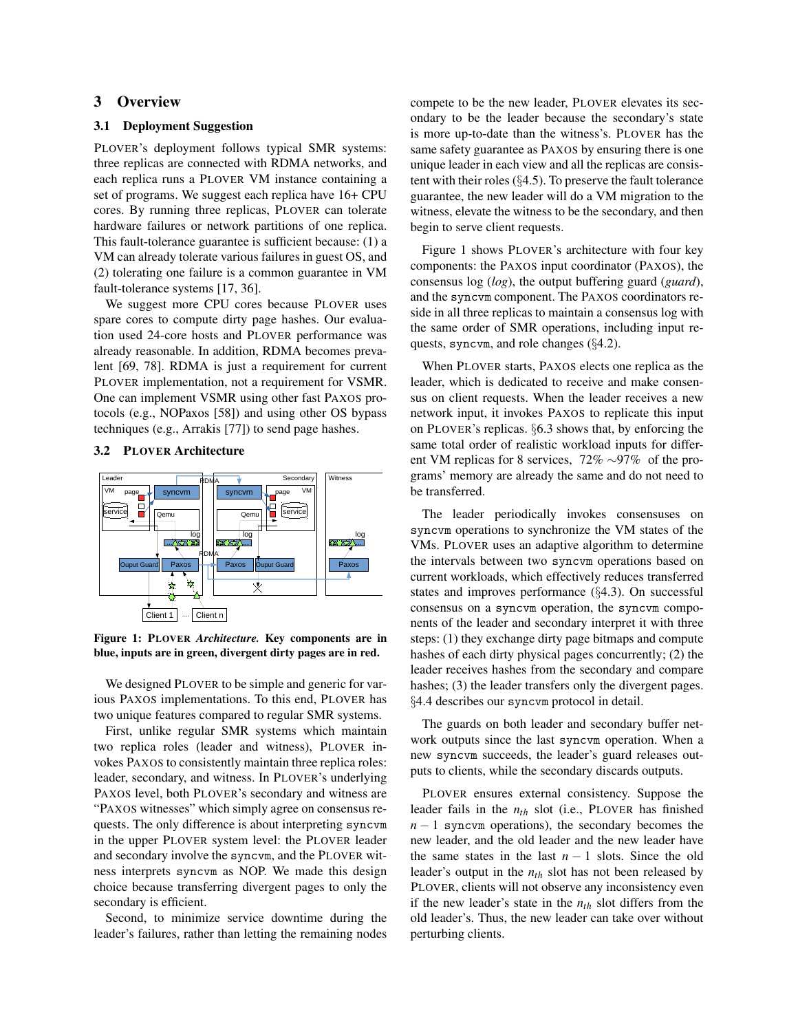# <span id="page-3-0"></span>3 Overview

## 3.1 Deployment Suggestion

PLOVER's deployment follows typical SMR systems: three replicas are connected with RDMA networks, and each replica runs a PLOVER VM instance containing a set of programs. We suggest each replica have 16+ CPU cores. By running three replicas, PLOVER can tolerate hardware failures or network partitions of one replica. This fault-tolerance guarantee is sufficient because: (1) a VM can already tolerate various failures in guest OS, and (2) tolerating one failure is a common guarantee in VM fault-tolerance systems [\[17,](#page-12-4) [36\]](#page-13-0).

We suggest more CPU cores because PLOVER uses spare cores to compute dirty page hashes. Our evaluation used 24-core hosts and PLOVER performance was already reasonable. In addition, RDMA becomes prevalent [\[69,](#page-15-16) [78\]](#page-15-4). RDMA is just a requirement for current PLOVER implementation, not a requirement for VSMR. One can implement VSMR using other fast PAXOS protocols (e.g., NOPaxos [\[58\]](#page-14-5)) and using other OS bypass techniques (e.g., Arrakis [\[77\]](#page-15-8)) to send page hashes.

### <span id="page-3-2"></span>3.2 PLOVER Architecture

<span id="page-3-1"></span>

Figure 1: PLOVER *Architecture.* Key components are in blue, inputs are in green, divergent dirty pages are in red.

We designed PLOVER to be simple and generic for various PAXOS implementations. To this end, PLOVER has two unique features compared to regular SMR systems.

First, unlike regular SMR systems which maintain two replica roles (leader and witness), PLOVER invokes PAXOS to consistently maintain three replica roles: leader, secondary, and witness. In PLOVER's underlying PAXOS level, both PLOVER's secondary and witness are "PAXOS witnesses" which simply agree on consensus requests. The only difference is about interpreting syncvm in the upper PLOVER system level: the PLOVER leader and secondary involve the syncvm, and the PLOVER witness interprets syncvm as NOP. We made this design choice because transferring divergent pages to only the secondary is efficient.

Second, to minimize service downtime during the leader's failures, rather than letting the remaining nodes compete to be the new leader, PLOVER elevates its secondary to be the leader because the secondary's state is more up-to-date than the witness's. PLOVER has the same safety guarantee as PAXOS by ensuring there is one unique leader in each view and all the replicas are consistent with their roles (§[4.5\)](#page-5-0). To preserve the fault tolerance guarantee, the new leader will do a VM migration to the witness, elevate the witness to be the secondary, and then begin to serve client requests.

Figure [1](#page-3-1) shows PLOVER's architecture with four key components: the PAXOS input coordinator (PAXOS), the consensus log (*log*), the output buffering guard (*guard*), and the syncvm component. The PAXOS coordinators reside in all three replicas to maintain a consensus log with the same order of SMR operations, including input requests, syncvm, and role changes (§[4.2\)](#page-4-1).

When PLOVER starts, PAXOS elects one replica as the leader, which is dedicated to receive and make consensus on client requests. When the leader receives a new network input, it invokes PAXOS to replicate this input on PLOVER's replicas. §[6.3](#page-9-0) shows that, by enforcing the same total order of realistic workload inputs for different VM replicas for 8 services, 72% ∼97% of the programs' memory are already the same and do not need to be transferred.

The leader periodically invokes consensuses on syncvm operations to synchronize the VM states of the VMs. PLOVER uses an adaptive algorithm to determine the intervals between two syncvm operations based on current workloads, which effectively reduces transferred states and improves performance (§[4.3\)](#page-5-1). On successful consensus on a syncvm operation, the syncvm components of the leader and secondary interpret it with three steps: (1) they exchange dirty page bitmaps and compute hashes of each dirty physical pages concurrently; (2) the leader receives hashes from the secondary and compare hashes; (3) the leader transfers only the divergent pages. §[4.4](#page-5-2) describes our syncvm protocol in detail.

The guards on both leader and secondary buffer network outputs since the last syncvm operation. When a new syncvm succeeds, the leader's guard releases outputs to clients, while the secondary discards outputs.

PLOVER ensures external consistency. Suppose the leader fails in the *nth* slot (i.e., PLOVER has finished  $n - 1$  syncvm operations), the secondary becomes the new leader, and the old leader and the new leader have the same states in the last  $n - 1$  slots. Since the old leader's output in the *nth* slot has not been released by PLOVER, clients will not observe any inconsistency even if the new leader's state in the *nth* slot differs from the old leader's. Thus, the new leader can take over without perturbing clients.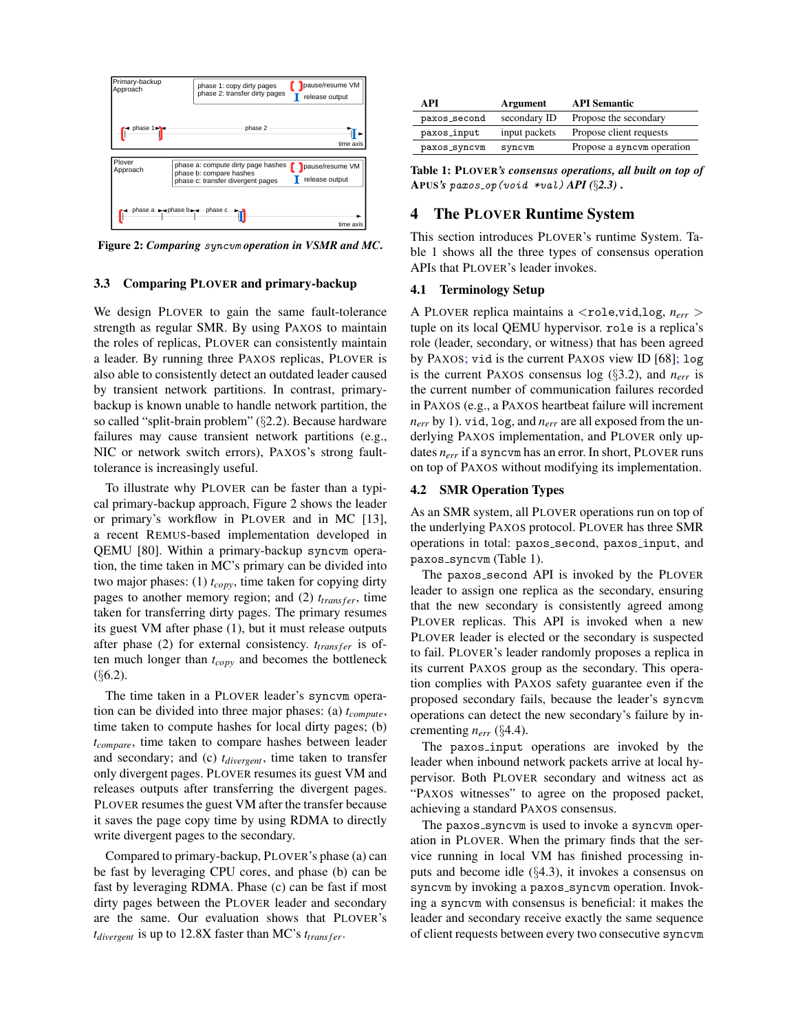<span id="page-4-2"></span>

Figure 2: *Comparing* syncvm *operation in VSMR and MC*.

#### <span id="page-4-4"></span>3.3 Comparing PLOVER and primary-backup

We design PLOVER to gain the same fault-tolerance strength as regular SMR. By using PAXOS to maintain the roles of replicas, PLOVER can consistently maintain a leader. By running three PAXOS replicas, PLOVER is also able to consistently detect an outdated leader caused by transient network partitions. In contrast, primarybackup is known unable to handle network partition, the so called "split-brain problem" (§[2.2\)](#page-2-0). Because hardware failures may cause transient network partitions (e.g., NIC or network switch errors), PAXOS's strong faulttolerance is increasingly useful.

To illustrate why PLOVER can be faster than a typical primary-backup approach, Figure [2](#page-4-2) shows the leader or primary's workflow in PLOVER and in MC [\[13\]](#page-12-2), a recent REMUS-based implementation developed in QEMU [\[80\]](#page-15-3). Within a primary-backup syncvm operation, the time taken in MC's primary can be divided into two major phases: (1) *tcopy*, time taken for copying dirty pages to another memory region; and  $(2)$   $t_{transfer}$ , time taken for transferring dirty pages. The primary resumes its guest VM after phase (1), but it must release outputs after phase (2) for external consistency.  $t_{transfer}$  is often much longer than *tcopy* and becomes the bottleneck  $(§6.2).$  $(§6.2).$  $(§6.2).$ 

The time taken in a PLOVER leader's syncvm operation can be divided into three major phases: (a) *tcompute*, time taken to compute hashes for local dirty pages; (b) *tcompare*, time taken to compare hashes between leader and secondary; and (c) *tdivergent*, time taken to transfer only divergent pages. PLOVER resumes its guest VM and releases outputs after transferring the divergent pages. PLOVER resumes the guest VM after the transfer because it saves the page copy time by using RDMA to directly write divergent pages to the secondary.

Compared to primary-backup, PLOVER's phase (a) can be fast by leveraging CPU cores, and phase (b) can be fast by leveraging RDMA. Phase (c) can be fast if most dirty pages between the PLOVER leader and secondary are the same. Our evaluation shows that PLOVER's  $t_{divergent}$  is up to 12.8X faster than MC's  $t_{transfer}$ .

<span id="page-4-3"></span>

| A PT         | Argument      | <b>API Semantic</b>        |
|--------------|---------------|----------------------------|
| paxos_second | secondary ID  | Propose the secondary      |
| paxos_input  | input packets | Propose client requests    |
| paxos_syncvm | syncvm        | Propose a syncom operation |

Table 1: PLOVER*'s consensus operations, all built on top of* APUS*'s* paxos op(void \*val) *API (*§*[2.3\)](#page-2-1)* .

## <span id="page-4-0"></span>4 The PLOVER Runtime System

This section introduces PLOVER's runtime System. Table [1](#page-4-3) shows all the three types of consensus operation APIs that PLOVER's leader invokes.

#### <span id="page-4-5"></span>4.1 Terminology Setup

A PLOVER replica maintains a  $\langle$ role,vid,log,  $n_{err}$  > tuple on its local QEMU hypervisor. role is a replica's role (leader, secondary, or witness) that has been agreed by PAXOS; vid is the current PAXOS view ID [\[68\]](#page-15-1); log is the current PAXOS consensus log (§[3.2\)](#page-3-2), and *nerr* is the current number of communication failures recorded in PAXOS (e.g., a PAXOS heartbeat failure will increment *nerr* by 1). vid, log, and *nerr* are all exposed from the underlying PAXOS implementation, and PLOVER only updates *nerr* if a syncvm has an error. In short, PLOVER runs on top of PAXOS without modifying its implementation.

#### <span id="page-4-1"></span>4.2 SMR Operation Types

As an SMR system, all PLOVER operations run on top of the underlying PAXOS protocol. PLOVER has three SMR operations in total: paxos\_second, paxos\_input, and paxos\_syncvm (Table [1\)](#page-4-3).

The paxos second API is invoked by the PLOVER leader to assign one replica as the secondary, ensuring that the new secondary is consistently agreed among PLOVER replicas. This API is invoked when a new PLOVER leader is elected or the secondary is suspected to fail. PLOVER's leader randomly proposes a replica in its current PAXOS group as the secondary. This operation complies with PAXOS safety guarantee even if the proposed secondary fails, because the leader's syncvm operations can detect the new secondary's failure by incrementing *nerr* (§[4.4\)](#page-5-2).

The paxos input operations are invoked by the leader when inbound network packets arrive at local hypervisor. Both PLOVER secondary and witness act as "PAXOS witnesses" to agree on the proposed packet, achieving a standard PAXOS consensus.

The paxos\_syncvm is used to invoke a syncvm operation in PLOVER. When the primary finds that the service running in local VM has finished processing inputs and become idle (§[4.3\)](#page-5-1), it invokes a consensus on syncvm by invoking a paxos\_syncvm operation. Invoking a syncvm with consensus is beneficial: it makes the leader and secondary receive exactly the same sequence of client requests between every two consecutive syncvm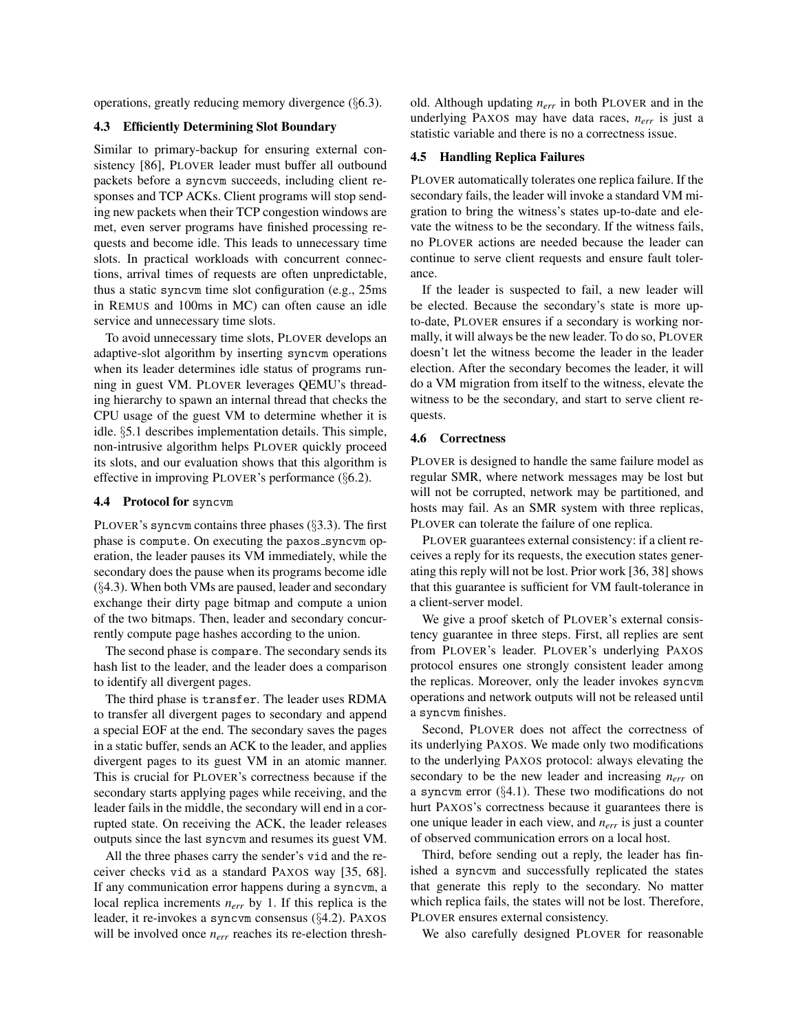operations, greatly reducing memory divergence (§[6.3\)](#page-9-0).

### <span id="page-5-1"></span>4.3 Efficiently Determining Slot Boundary

Similar to primary-backup for ensuring external consistency [\[86\]](#page-15-12), PLOVER leader must buffer all outbound packets before a syncvm succeeds, including client responses and TCP ACKs. Client programs will stop sending new packets when their TCP congestion windows are met, even server programs have finished processing requests and become idle. This leads to unnecessary time slots. In practical workloads with concurrent connections, arrival times of requests are often unpredictable, thus a static syncvm time slot configuration (e.g., 25ms in REMUS and 100ms in MC) can often cause an idle service and unnecessary time slots.

To avoid unnecessary time slots, PLOVER develops an adaptive-slot algorithm by inserting syncvm operations when its leader determines idle status of programs running in guest VM. PLOVER leverages QEMU's threading hierarchy to spawn an internal thread that checks the CPU usage of the guest VM to determine whether it is idle. §[5.1](#page-6-2) describes implementation details. This simple, non-intrusive algorithm helps PLOVER quickly proceed its slots, and our evaluation shows that this algorithm is effective in improving PLOVER's performance (§[6.2\)](#page-7-0).

### <span id="page-5-2"></span>4.4 Protocol for syncvm

PLOVER's syncom contains three phases  $(\S 3.3)$  $(\S 3.3)$ . The first phase is compute. On executing the paxos\_syncvm operation, the leader pauses its VM immediately, while the secondary does the pause when its programs become idle (§[4.3\)](#page-5-1). When both VMs are paused, leader and secondary exchange their dirty page bitmap and compute a union of the two bitmaps. Then, leader and secondary concurrently compute page hashes according to the union.

The second phase is compare. The secondary sends its hash list to the leader, and the leader does a comparison to identify all divergent pages.

The third phase is transfer. The leader uses RDMA to transfer all divergent pages to secondary and append a special EOF at the end. The secondary saves the pages in a static buffer, sends an ACK to the leader, and applies divergent pages to its guest VM in an atomic manner. This is crucial for PLOVER's correctness because if the secondary starts applying pages while receiving, and the leader fails in the middle, the secondary will end in a corrupted state. On receiving the ACK, the leader releases outputs since the last syncvm and resumes its guest VM.

All the three phases carry the sender's vid and the receiver checks vid as a standard PAXOS way [\[35,](#page-13-5) [68\]](#page-15-1). If any communication error happens during a syncvm, a local replica increments *nerr* by 1. If this replica is the leader, it re-invokes a syncvm consensus (§[4.2\)](#page-4-1). PAXOS will be involved once  $n_{err}$  reaches its re-election threshold. Although updating *nerr* in both PLOVER and in the underlying PAXOS may have data races, *nerr* is just a statistic variable and there is no a correctness issue.

### <span id="page-5-0"></span>4.5 Handling Replica Failures

PLOVER automatically tolerates one replica failure. If the secondary fails, the leader will invoke a standard VM migration to bring the witness's states up-to-date and elevate the witness to be the secondary. If the witness fails, no PLOVER actions are needed because the leader can continue to serve client requests and ensure fault tolerance.

If the leader is suspected to fail, a new leader will be elected. Because the secondary's state is more upto-date, PLOVER ensures if a secondary is working normally, it will always be the new leader. To do so, PLOVER doesn't let the witness become the leader in the leader election. After the secondary becomes the leader, it will do a VM migration from itself to the witness, elevate the witness to be the secondary, and start to serve client requests.

### 4.6 Correctness

PLOVER is designed to handle the same failure model as regular SMR, where network messages may be lost but will not be corrupted, network may be partitioned, and hosts may fail. As an SMR system with three replicas, PLOVER can tolerate the failure of one replica.

PLOVER guarantees external consistency: if a client receives a reply for its requests, the execution states generating this reply will not be lost. Prior work [\[36,](#page-13-0) [38\]](#page-13-2) shows that this guarantee is sufficient for VM fault-tolerance in a client-server model.

We give a proof sketch of PLOVER's external consistency guarantee in three steps. First, all replies are sent from PLOVER's leader. PLOVER's underlying PAXOS protocol ensures one strongly consistent leader among the replicas. Moreover, only the leader invokes syncvm operations and network outputs will not be released until a syncvm finishes.

Second, PLOVER does not affect the correctness of its underlying PAXOS. We made only two modifications to the underlying PAXOS protocol: always elevating the secondary to be the new leader and increasing *nerr* on a syncvm error (§[4.1\)](#page-4-5). These two modifications do not hurt PAXOS's correctness because it guarantees there is one unique leader in each view, and *nerr* is just a counter of observed communication errors on a local host.

Third, before sending out a reply, the leader has finished a syncvm and successfully replicated the states that generate this reply to the secondary. No matter which replica fails, the states will not be lost. Therefore, PLOVER ensures external consistency.

We also carefully designed PLOVER for reasonable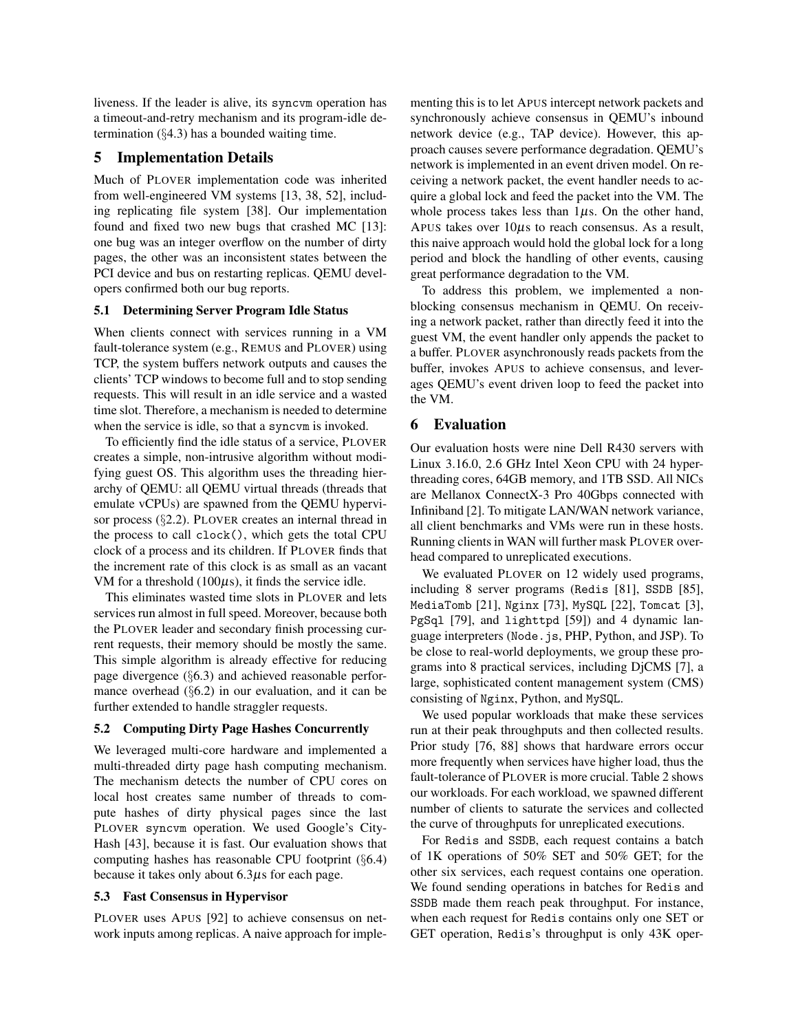liveness. If the leader is alive, its syncvm operation has a timeout-and-retry mechanism and its program-idle determination  $(\S 4.3)$  $(\S 4.3)$  has a bounded waiting time.

# <span id="page-6-1"></span>5 Implementation Details

Much of PLOVER implementation code was inherited from well-engineered VM systems [\[13,](#page-12-2) [38,](#page-13-2) [52\]](#page-14-9), including replicating file system [\[38\]](#page-13-2). Our implementation found and fixed two new bugs that crashed MC [\[13\]](#page-12-2): one bug was an integer overflow on the number of dirty pages, the other was an inconsistent states between the PCI device and bus on restarting replicas. QEMU developers confirmed both our bug reports.

### <span id="page-6-2"></span>5.1 Determining Server Program Idle Status

When clients connect with services running in a VM fault-tolerance system (e.g., REMUS and PLOVER) using TCP, the system buffers network outputs and causes the clients' TCP windows to become full and to stop sending requests. This will result in an idle service and a wasted time slot. Therefore, a mechanism is needed to determine when the service is idle, so that a syncvm is invoked.

To efficiently find the idle status of a service, PLOVER creates a simple, non-intrusive algorithm without modifying guest OS. This algorithm uses the threading hierarchy of QEMU: all QEMU virtual threads (threads that emulate vCPUs) are spawned from the QEMU hypervisor process (§[2.2\)](#page-2-0). PLOVER creates an internal thread in the process to call clock(), which gets the total CPU clock of a process and its children. If PLOVER finds that the increment rate of this clock is as small as an vacant VM for a threshold  $(100\mu s)$ , it finds the service idle.

This eliminates wasted time slots in PLOVER and lets services run almost in full speed. Moreover, because both the PLOVER leader and secondary finish processing current requests, their memory should be mostly the same. This simple algorithm is already effective for reducing page divergence (§[6.3\)](#page-9-0) and achieved reasonable performance overhead (§[6.2\)](#page-7-0) in our evaluation, and it can be further extended to handle straggler requests.

### 5.2 Computing Dirty Page Hashes Concurrently

We leveraged multi-core hardware and implemented a multi-threaded dirty page hash computing mechanism. The mechanism detects the number of CPU cores on local host creates same number of threads to compute hashes of dirty physical pages since the last PLOVER syncvm operation. We used Google's City-Hash [\[43\]](#page-13-10), because it is fast. Our evaluation shows that computing hashes has reasonable CPU footprint (§[6.4\)](#page-9-1) because it takes only about  $6.3\mu s$  for each page.

### 5.3 Fast Consensus in Hypervisor

PLOVER uses APUS [\[92\]](#page-16-0) to achieve consensus on network inputs among replicas. A naive approach for implementing this is to let APUS intercept network packets and synchronously achieve consensus in QEMU's inbound network device (e.g., TAP device). However, this approach causes severe performance degradation. QEMU's network is implemented in an event driven model. On receiving a network packet, the event handler needs to acquire a global lock and feed the packet into the VM. The whole process takes less than  $1\mu$ s. On the other hand, APUS takes over  $10\mu s$  to reach consensus. As a result, this naive approach would hold the global lock for a long period and block the handling of other events, causing great performance degradation to the VM.

To address this problem, we implemented a nonblocking consensus mechanism in QEMU. On receiving a network packet, rather than directly feed it into the guest VM, the event handler only appends the packet to a buffer. PLOVER asynchronously reads packets from the buffer, invokes APUS to achieve consensus, and leverages QEMU's event driven loop to feed the packet into the VM.

## <span id="page-6-0"></span>6 Evaluation

Our evaluation hosts were nine Dell R430 servers with Linux 3.16.0, 2.6 GHz Intel Xeon CPU with 24 hyperthreading cores, 64GB memory, and 1TB SSD. All NICs are Mellanox ConnectX-3 Pro 40Gbps connected with Infiniband [\[2\]](#page-12-8). To mitigate LAN/WAN network variance, all client benchmarks and VMs were run in these hosts. Running clients in WAN will further mask PLOVER overhead compared to unreplicated executions.

We evaluated PLOVER on 12 widely used programs, including 8 server programs (Redis [\[81\]](#page-15-17), SSDB [\[85\]](#page-15-5), MediaTomb [\[21\]](#page-12-18), Nginx [\[73\]](#page-15-6), MySQL [\[22\]](#page-12-7), Tomcat [\[3\]](#page-12-5), PgSql [\[79\]](#page-15-18), and lighttpd [\[59\]](#page-14-12)) and 4 dynamic language interpreters (Node.js, PHP, Python, and JSP). To be close to real-world deployments, we group these programs into 8 practical services, including DjCMS [\[7\]](#page-12-6), a large, sophisticated content management system (CMS) consisting of Nginx, Python, and MySQL.

We used popular workloads that make these services run at their peak throughputs and then collected results. Prior study [\[76,](#page-15-19) [88\]](#page-15-20) shows that hardware errors occur more frequently when services have higher load, thus the fault-tolerance of PLOVER is more crucial. Table [2](#page-7-1) shows our workloads. For each workload, we spawned different number of clients to saturate the services and collected the curve of throughputs for unreplicated executions.

For Redis and SSDB, each request contains a batch of 1K operations of 50% SET and 50% GET; for the other six services, each request contains one operation. We found sending operations in batches for Redis and SSDB made them reach peak throughput. For instance, when each request for Redis contains only one SET or GET operation, Redis's throughput is only 43K oper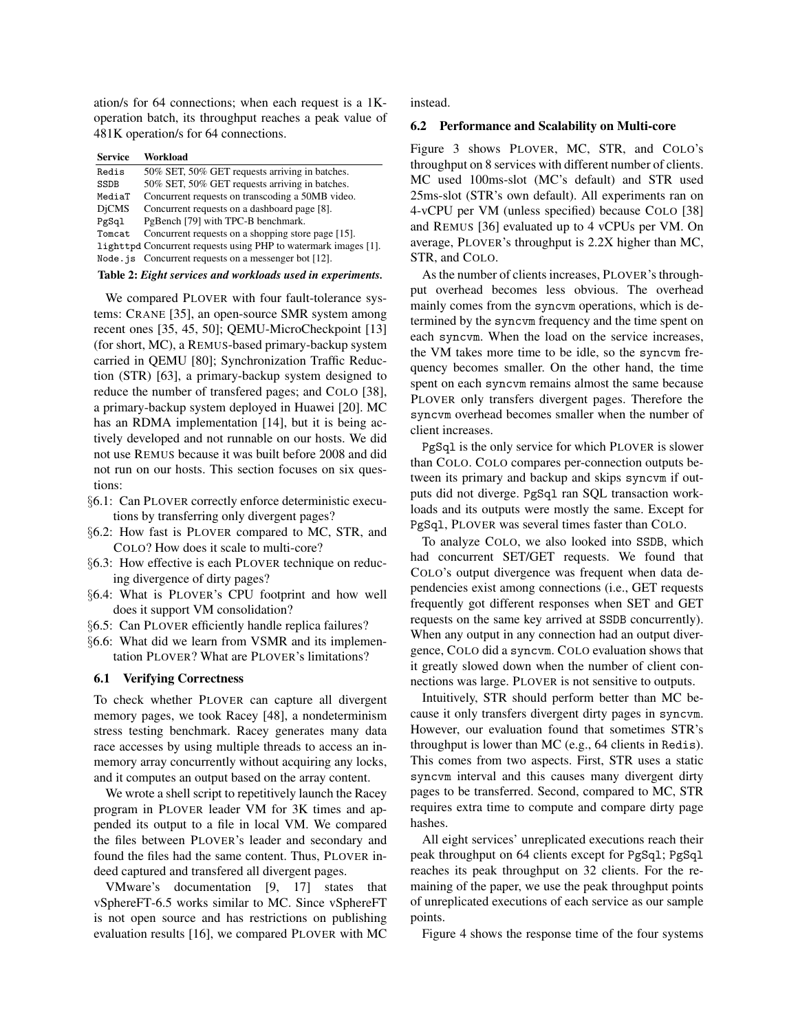ation/s for 64 connections; when each request is a 1Koperation batch, its throughput reaches a peak value of 481K operation/s for 64 connections.

<span id="page-7-1"></span>

| <b>Service</b> | Workload                                                        |
|----------------|-----------------------------------------------------------------|
| Redis          | 50% SET, 50% GET requests arriving in batches.                  |
| <b>SSDB</b>    | 50% SET, 50% GET requests arriving in batches.                  |
| MediaT         | Concurrent requests on transcoding a 50MB video.                |
| <b>DiCMS</b>   | Concurrent requests on a dashboard page [8].                    |
| PgSql          | PgBench [79] with TPC-B benchmark.                              |
| Tomcat         | Concurrent requests on a shopping store page [15].              |
|                | lighttpd Concurrent requests using PHP to watermark images [1]. |
|                | Node $\sigma$ is Concurrent requests on a messenger bot [12].   |
|                |                                                                 |

Table 2: *Eight services and workloads used in experiments.*

We compared PLOVER with four fault-tolerance systems: CRANE [\[35\]](#page-13-5), an open-source SMR system among recent ones [\[35,](#page-13-5) [45,](#page-13-6) [50\]](#page-14-3); QEMU-MicroCheckpoint [\[13\]](#page-12-2) (for short, MC), a REMUS-based primary-backup system carried in QEMU [\[80\]](#page-15-3); Synchronization Traffic Reduction (STR) [\[63\]](#page-14-6), a primary-backup system designed to reduce the number of transfered pages; and COLO [\[38\]](#page-13-2), a primary-backup system deployed in Huawei [\[20\]](#page-12-14). MC has an RDMA implementation [\[14\]](#page-12-13), but it is being actively developed and not runnable on our hosts. We did not use REMUS because it was built before 2008 and did not run on our hosts. This section focuses on six questions:

- §[6.1:](#page-7-2) Can PLOVER correctly enforce deterministic executions by transferring only divergent pages?
- §[6.2:](#page-7-0) How fast is PLOVER compared to MC, STR, and COLO? How does it scale to multi-core?
- §[6.3:](#page-9-0) How effective is each PLOVER technique on reducing divergence of dirty pages?
- §[6.4:](#page-9-1) What is PLOVER's CPU footprint and how well does it support VM consolidation?
- §[6.5:](#page-10-0) Can PLOVER efficiently handle replica failures?
- §[6.6:](#page-10-1) What did we learn from VSMR and its implementation PLOVER? What are PLOVER's limitations?

#### <span id="page-7-2"></span>6.1 Verifying Correctness

To check whether PLOVER can capture all divergent memory pages, we took Racey [\[48\]](#page-14-13), a nondeterminism stress testing benchmark. Racey generates many data race accesses by using multiple threads to access an inmemory array concurrently without acquiring any locks, and it computes an output based on the array content.

We wrote a shell script to repetitively launch the Racey program in PLOVER leader VM for 3K times and appended its output to a file in local VM. We compared the files between PLOVER's leader and secondary and found the files had the same content. Thus, PLOVER indeed captured and transfered all divergent pages.

VMware's documentation [\[9,](#page-12-15) [17\]](#page-12-4) states that vSphereFT-6.5 works similar to MC. Since vSphereFT is not open source and has restrictions on publishing evaluation results [\[16\]](#page-12-23), we compared PLOVER with MC instead.

#### <span id="page-7-0"></span>6.2 Performance and Scalability on Multi-core

Figure [3](#page-8-0) shows PLOVER, MC, STR, and COLO's throughput on 8 services with different number of clients. MC used 100ms-slot (MC's default) and STR used 25ms-slot (STR's own default). All experiments ran on 4-vCPU per VM (unless specified) because COLO [\[38\]](#page-13-2) and REMUS [\[36\]](#page-13-0) evaluated up to 4 vCPUs per VM. On average, PLOVER's throughput is 2.2X higher than MC, STR, and COLO.

As the number of clients increases, PLOVER's throughput overhead becomes less obvious. The overhead mainly comes from the syncvm operations, which is determined by the syncvm frequency and the time spent on each syncvm. When the load on the service increases, the VM takes more time to be idle, so the syncvm frequency becomes smaller. On the other hand, the time spent on each syncvm remains almost the same because PLOVER only transfers divergent pages. Therefore the syncvm overhead becomes smaller when the number of client increases.

PgSql is the only service for which PLOVER is slower than COLO. COLO compares per-connection outputs between its primary and backup and skips syncvm if outputs did not diverge. PgSql ran SQL transaction workloads and its outputs were mostly the same. Except for PgSql, PLOVER was several times faster than COLO.

To analyze COLO, we also looked into SSDB, which had concurrent SET/GET requests. We found that COLO's output divergence was frequent when data dependencies exist among connections (i.e., GET requests frequently got different responses when SET and GET requests on the same key arrived at SSDB concurrently). When any output in any connection had an output divergence, COLO did a syncvm. COLO evaluation shows that it greatly slowed down when the number of client connections was large. PLOVER is not sensitive to outputs.

Intuitively, STR should perform better than MC because it only transfers divergent dirty pages in syncvm. However, our evaluation found that sometimes STR's throughput is lower than MC (e.g., 64 clients in Redis). This comes from two aspects. First, STR uses a static syncvm interval and this causes many divergent dirty pages to be transferred. Second, compared to MC, STR requires extra time to compute and compare dirty page hashes.

All eight services' unreplicated executions reach their peak throughput on 64 clients except for PgSql; PgSql reaches its peak throughput on 32 clients. For the remaining of the paper, we use the peak throughput points of unreplicated executions of each service as our sample points.

Figure [4](#page-8-1) shows the response time of the four systems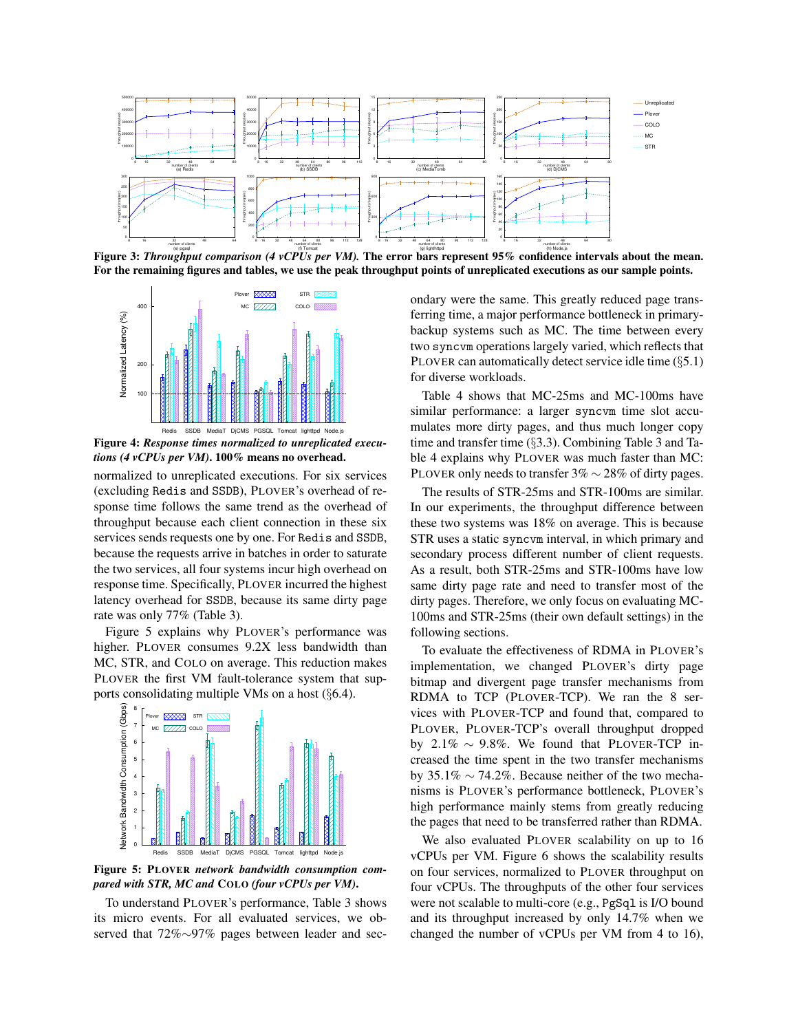<span id="page-8-0"></span>

Figure 3: *Throughput comparison (4 vCPUs per VM)*. The error bars represent 95% confidence intervals about the mean. For the remaining figures and tables, we use the peak throughput points of unreplicated executions as our sample points.

<span id="page-8-1"></span>

Figure 4: *Response times normalized to unreplicated executions (4 vCPUs per VM)*. 100% means no overhead.

normalized to unreplicated executions. For six services (excluding Redis and SSDB), PLOVER's overhead of response time follows the same trend as the overhead of throughput because each client connection in these six services sends requests one by one. For Redis and SSDB, because the requests arrive in batches in order to saturate the two services, all four systems incur high overhead on response time. Specifically, PLOVER incurred the highest latency overhead for SSDB, because its same dirty page rate was only 77% (Table [3\)](#page-9-2).

Figure [5](#page-8-2) explains why PLOVER's performance was higher. PLOVER consumes 9.2X less bandwidth than MC, STR, and COLO on average. This reduction makes PLOVER the first VM fault-tolerance system that supports consolidating multiple VMs on a host (§[6.4\)](#page-9-1).

<span id="page-8-2"></span>



Figure 5: PLOVER *network bandwidth consumption compared with STR, MC and* COLO *(four vCPUs per VM)*.

To understand PLOVER's performance, Table [3](#page-9-2) shows its micro events. For all evaluated services, we observed that 72%∼97% pages between leader and secondary were the same. This greatly reduced page transferring time, a major performance bottleneck in primarybackup systems such as MC. The time between every two syncvm operations largely varied, which reflects that PLOVER can automatically detect service idle time (§[5.1\)](#page-6-2) for diverse workloads.

Table [4](#page-9-3) shows that MC-25ms and MC-100ms have similar performance: a larger syncvm time slot accumulates more dirty pages, and thus much longer copy time and transfer time (§[3.3\)](#page-4-4). Combining Table [3](#page-9-2) and Table [4](#page-9-3) explains why PLOVER was much faster than MC: PLOVER only needs to transfer 3% ∼ 28% of dirty pages.

The results of STR-25ms and STR-100ms are similar. In our experiments, the throughput difference between these two systems was 18% on average. This is because STR uses a static syncvm interval, in which primary and secondary process different number of client requests. As a result, both STR-25ms and STR-100ms have low same dirty page rate and need to transfer most of the dirty pages. Therefore, we only focus on evaluating MC-100ms and STR-25ms (their own default settings) in the following sections.

To evaluate the effectiveness of RDMA in PLOVER's implementation, we changed PLOVER's dirty page bitmap and divergent page transfer mechanisms from RDMA to TCP (PLOVER-TCP). We ran the 8 services with PLOVER-TCP and found that, compared to PLOVER, PLOVER-TCP's overall throughput dropped by 2.1%  $\sim$  9.8%. We found that PLOVER-TCP increased the time spent in the two transfer mechanisms by 35.1%  $\sim$  74.2%. Because neither of the two mechanisms is PLOVER's performance bottleneck, PLOVER's high performance mainly stems from greatly reducing the pages that need to be transferred rather than RDMA.

We also evaluated PLOVER scalability on up to 16 vCPUs per VM. Figure [6](#page-9-4) shows the scalability results on four services, normalized to PLOVER throughput on four vCPUs. The throughputs of the other four services were not scalable to multi-core (e.g., PgSq1 is I/O bound and its throughput increased by only 14.7% when we changed the number of vCPUs per VM from 4 to 16),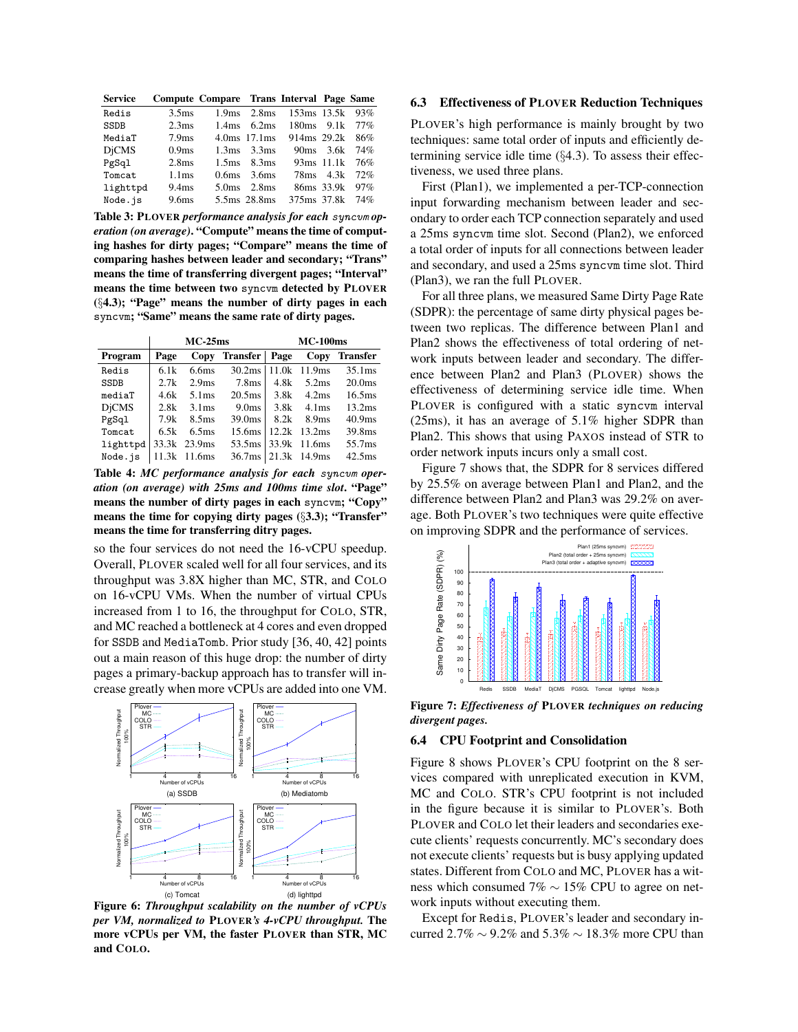<span id="page-9-2"></span>

| <b>Service</b> |                   | Compute Compare Trans Interval Page Same |                                 |                                     |                |     |
|----------------|-------------------|------------------------------------------|---------------------------------|-------------------------------------|----------------|-----|
| Redis          | 3.5 <sub>ms</sub> |                                          | $1.9 \text{ms}$ $2.8 \text{ms}$ | 153ms 13.5k                         |                | 93% |
| SSDB           | 2.3 <sub>ms</sub> |                                          | $1.4ms$ 6.2ms                   | $180 \text{ms}$ 9.1 k               |                | 77% |
| MediaT         | 7.9 <sub>ms</sub> |                                          | $4.0 \text{ms}$ 17.1 ms         | 914 <sub>ms</sub> 29.2 <sub>k</sub> |                | 86% |
| <b>DiCMS</b>   | 0.9 <sub>ms</sub> |                                          | $1.3ms$ 3.3ms                   |                                     | $90ms$ $3.6k$  | 74% |
| PgSql          | 2.8 <sub>ms</sub> |                                          | $1.5$ ms $8.3$ ms               |                                     | 93ms 11.1k 76% |     |
| Tomcat         | 1.1 <sub>ms</sub> | 0.6 <sub>ms</sub>                        | 3.6ms                           |                                     | 78ms 4.3k      | 72% |
| lighttpd       | 9.4 <sub>ms</sub> | 5.0 <sub>ms</sub>                        | 2.8 <sub>ms</sub>               |                                     | 86ms 33.9k     | 97% |
| Node.is        | 9.6ms             |                                          | 5.5ms 28.8ms                    | 375ms 37.8k                         |                | 74% |

Table 3: PLOVER *performance analysis for each* syncvm *operation (on average)*. "Compute" means the time of computing hashes for dirty pages; "Compare" means the time of comparing hashes between leader and secondary; "Trans" means the time of transferring divergent pages; "Interval" means the time between two syncvm detected by PLOVER (§[4.3\)](#page-5-1); "Page" means the number of dirty pages in each syncvm; "Same" means the same rate of dirty pages.

<span id="page-9-3"></span>

|              | $MC-25ms$ |                   |                    | <b>MC-100ms</b> |                   |                    |  |
|--------------|-----------|-------------------|--------------------|-----------------|-------------------|--------------------|--|
| Program      | Page      | Copy              | Transfer           | Page            | Copy              | <b>Transfer</b>    |  |
| Redis        | 6.1k      | 6.6 <sub>ms</sub> | 30.2 <sub>ms</sub> |                 | 11.0k 11.9ms      | 35.1 <sub>ms</sub> |  |
| SSDB         | 2.7k      | 2.9 <sub>ms</sub> | 7.8ms              | 4.8k            | 5.2ms             | 20.0 <sub>ms</sub> |  |
| mediaT       | 4.6k      | 5.1 <sub>ms</sub> | 20.5 <sub>ms</sub> | 3.8k            | 4.2ms             | 16.5 <sub>ms</sub> |  |
| <b>DiCMS</b> | 2.8k      | 3.1 <sub>ms</sub> | 9.0 <sub>ms</sub>  | 3.8k            | 4.1 <sub>ms</sub> | 13.2ms             |  |
| PgSql        | 7.9k      | 8.5 <sub>ms</sub> | 39.0 <sub>ms</sub> | 8.2k            | 8.9 <sub>ms</sub> | 40.9 <sub>ms</sub> |  |
| Tomcat       | 6.5k      | 6.5 <sub>ms</sub> | 15.6ms             |                 | 12.2k 13.2ms      | 39.8ms             |  |
| lighttpd     |           | 33.3k 23.9ms      | 53.5ms             |                 | 33.9k 11.6ms      | 55.7ms             |  |
| Node.is      |           | 11.3k 11.6ms      | 36.7ms             |                 | 21.3k 14.9ms      | 42.5 <sub>ms</sub> |  |

Table 4: *MC performance analysis for each* syncvm *operation (on average) with 25ms and 100ms time slot*. "Page" means the number of dirty pages in each syncvm; "Copy" means the time for copying dirty pages (§[3.3\)](#page-4-4); "Transfer" means the time for transferring ditry pages.

so the four services do not need the 16-vCPU speedup. Overall, PLOVER scaled well for all four services, and its throughput was 3.8X higher than MC, STR, and COLO on 16-vCPU VMs. When the number of virtual CPUs increased from 1 to 16, the throughput for COLO, STR, and MC reached a bottleneck at 4 cores and even dropped for SSDB and MediaTomb. Prior study [\[36,](#page-13-0) [40,](#page-13-3) [42\]](#page-13-1) points out a main reason of this huge drop: the number of dirty pages a primary-backup approach has to transfer will increase greatly when more vCPUs are added into one VM.

<span id="page-9-4"></span>

Figure 6: *Throughput scalability on the number of vCPUs per VM, normalized to* PLOVER*'s 4-vCPU throughput.* The more vCPUs per VM, the faster PLOVER than STR, MC and COLO.

## <span id="page-9-0"></span>6.3 Effectiveness of PLOVER Reduction Techniques

PLOVER's high performance is mainly brought by two techniques: same total order of inputs and efficiently determining service idle time  $(\S 4.3)$  $(\S 4.3)$ . To assess their effectiveness, we used three plans.

First (Plan1), we implemented a per-TCP-connection input forwarding mechanism between leader and secondary to order each TCP connection separately and used a 25ms syncvm time slot. Second (Plan2), we enforced a total order of inputs for all connections between leader and secondary, and used a 25ms syncvm time slot. Third (Plan3), we ran the full PLOVER.

For all three plans, we measured Same Dirty Page Rate (SDPR): the percentage of same dirty physical pages between two replicas. The difference between Plan1 and Plan2 shows the effectiveness of total ordering of network inputs between leader and secondary. The difference between Plan2 and Plan3 (PLOVER) shows the effectiveness of determining service idle time. When PLOVER is configured with a static syncvm interval (25ms), it has an average of 5.1% higher SDPR than Plan2. This shows that using PAXOS instead of STR to order network inputs incurs only a small cost.

Figure [7](#page-9-5) shows that, the SDPR for 8 services differed by 25.5% on average between Plan1 and Plan2, and the difference between Plan2 and Plan3 was 29.2% on average. Both PLOVER's two techniques were quite effective on improving SDPR and the performance of services.

<span id="page-9-5"></span>

Figure 7: *Effectiveness of* PLOVER *techniques on reducing divergent pages.*

### <span id="page-9-1"></span>6.4 CPU Footprint and Consolidation

Figure [8](#page-10-2) shows PLOVER's CPU footprint on the 8 services compared with unreplicated execution in KVM, MC and COLO. STR's CPU footprint is not included in the figure because it is similar to PLOVER's. Both PLOVER and COLO let their leaders and secondaries execute clients' requests concurrently. MC's secondary does not execute clients' requests but is busy applying updated states. Different from COLO and MC, PLOVER has a witness which consumed 7% ∼ 15% CPU to agree on network inputs without executing them.

Except for Redis, PLOVER's leader and secondary incurred 2.7%  $\sim$  9.2% and 5.3%  $\sim$  18.3% more CPU than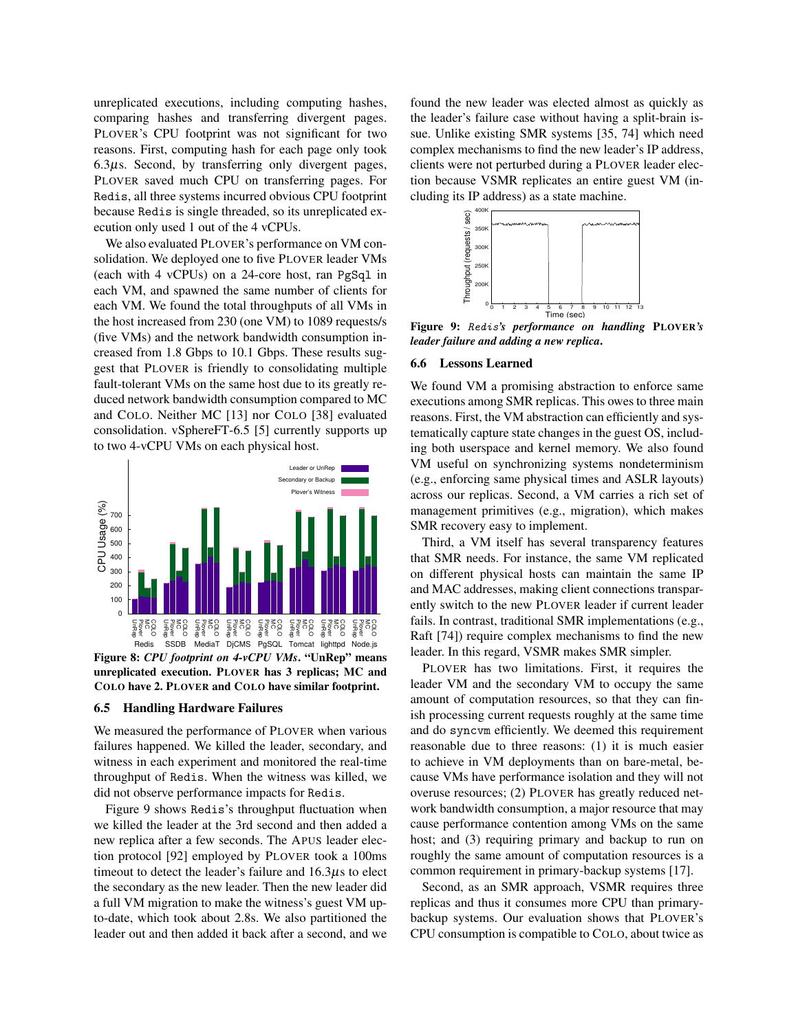unreplicated executions, including computing hashes, comparing hashes and transferring divergent pages. PLOVER's CPU footprint was not significant for two reasons. First, computing hash for each page only took  $6.3\mu$ s. Second, by transferring only divergent pages, PLOVER saved much CPU on transferring pages. For Redis, all three systems incurred obvious CPU footprint because Redis is single threaded, so its unreplicated execution only used 1 out of the 4 vCPUs.

We also evaluated PLOVER's performance on VM consolidation. We deployed one to five PLOVER leader VMs (each with 4 vCPUs) on a 24-core host, ran PgSql in each VM, and spawned the same number of clients for each VM. We found the total throughputs of all VMs in the host increased from 230 (one VM) to 1089 requests/s (five VMs) and the network bandwidth consumption increased from 1.8 Gbps to 10.1 Gbps. These results suggest that PLOVER is friendly to consolidating multiple fault-tolerant VMs on the same host due to its greatly reduced network bandwidth consumption compared to MC and COLO. Neither MC [\[13\]](#page-12-2) nor COLO [\[38\]](#page-13-2) evaluated consolidation. vSphereFT-6.5 [\[5\]](#page-12-3) currently supports up to two 4-vCPU VMs on each physical host.

<span id="page-10-2"></span>

Figure 8: *CPU footprint on 4-vCPU VMs*. "UnRep" means unreplicated execution. PLOVER has 3 replicas; MC and COLO have 2. PLOVER and COLO have similar footprint.

### <span id="page-10-0"></span>6.5 Handling Hardware Failures

We measured the performance of PLOVER when various failures happened. We killed the leader, secondary, and witness in each experiment and monitored the real-time throughput of Redis. When the witness was killed, we did not observe performance impacts for Redis.

Figure [9](#page-10-3) shows Redis's throughput fluctuation when we killed the leader at the 3rd second and then added a new replica after a few seconds. The APUS leader election protocol [\[92\]](#page-16-0) employed by PLOVER took a 100ms timeout to detect the leader's failure and  $16.3\mu s$  to elect the secondary as the new leader. Then the new leader did a full VM migration to make the witness's guest VM upto-date, which took about 2.8s. We also partitioned the leader out and then added it back after a second, and we found the new leader was elected almost as quickly as the leader's failure case without having a split-brain issue. Unlike existing SMR systems [\[35,](#page-13-5) [74\]](#page-15-14) which need complex mechanisms to find the new leader's IP address, clients were not perturbed during a PLOVER leader election because VSMR replicates an entire guest VM (including its IP address) as a state machine.

<span id="page-10-3"></span>

Figure 9: Redis*'s performance on handling* PLOVER*'s leader failure and adding a new replica*.

### <span id="page-10-1"></span>6.6 Lessons Learned

We found VM a promising abstraction to enforce same executions among SMR replicas. This owes to three main reasons. First, the VM abstraction can efficiently and systematically capture state changes in the guest OS, including both userspace and kernel memory. We also found VM useful on synchronizing systems nondeterminism (e.g., enforcing same physical times and ASLR layouts) across our replicas. Second, a VM carries a rich set of management primitives (e.g., migration), which makes SMR recovery easy to implement.

Third, a VM itself has several transparency features that SMR needs. For instance, the same VM replicated on different physical hosts can maintain the same IP and MAC addresses, making client connections transparently switch to the new PLOVER leader if current leader fails. In contrast, traditional SMR implementations (e.g., Raft [\[74\]](#page-15-14)) require complex mechanisms to find the new leader. In this regard, VSMR makes SMR simpler.

PLOVER has two limitations. First, it requires the leader VM and the secondary VM to occupy the same amount of computation resources, so that they can finish processing current requests roughly at the same time and do syncvm efficiently. We deemed this requirement reasonable due to three reasons: (1) it is much easier to achieve in VM deployments than on bare-metal, because VMs have performance isolation and they will not overuse resources; (2) PLOVER has greatly reduced network bandwidth consumption, a major resource that may cause performance contention among VMs on the same host; and (3) requiring primary and backup to run on roughly the same amount of computation resources is a common requirement in primary-backup systems [\[17\]](#page-12-4).

Second, as an SMR approach, VSMR requires three replicas and thus it consumes more CPU than primarybackup systems. Our evaluation shows that PLOVER's CPU consumption is compatible to COLO, about twice as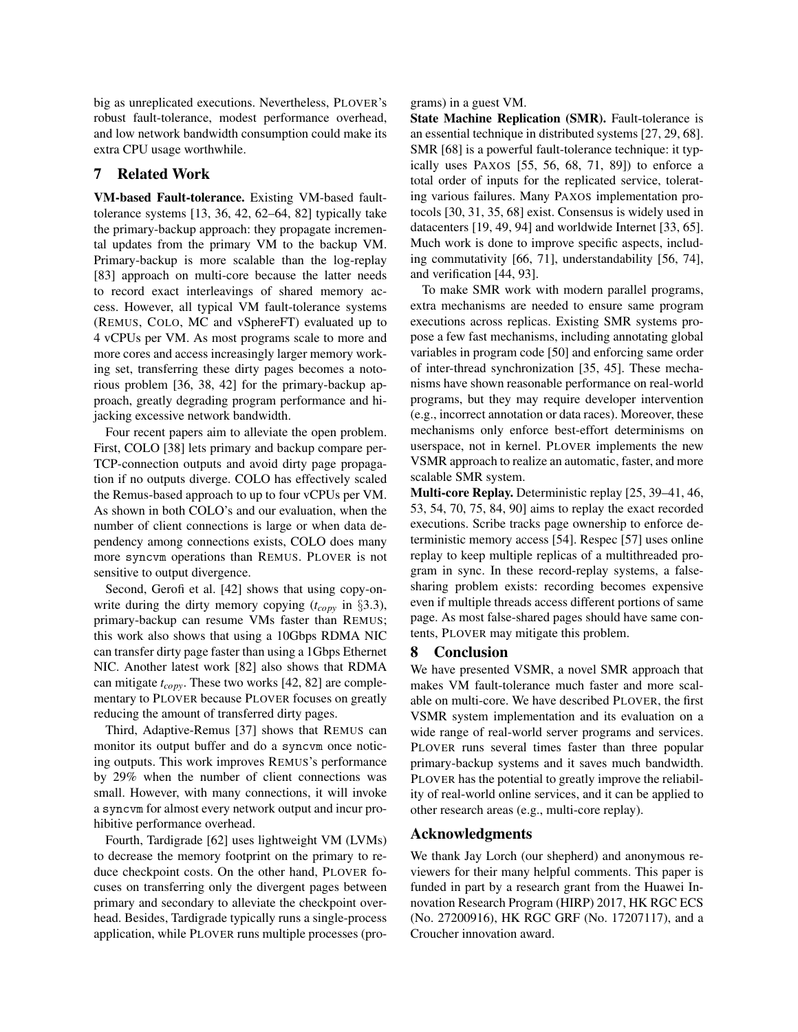big as unreplicated executions. Nevertheless, PLOVER's robust fault-tolerance, modest performance overhead, and low network bandwidth consumption could make its extra CPU usage worthwhile.

# <span id="page-11-0"></span>7 Related Work

VM-based Fault-tolerance. Existing VM-based faulttolerance systems [\[13,](#page-12-2) [36,](#page-13-0) [42,](#page-13-1) [62–](#page-14-14)[64,](#page-14-0) [82\]](#page-15-0) typically take the primary-backup approach: they propagate incremental updates from the primary VM to the backup VM. Primary-backup is more scalable than the log-replay [\[83\]](#page-15-13) approach on multi-core because the latter needs to record exact interleavings of shared memory access. However, all typical VM fault-tolerance systems (REMUS, COLO, MC and vSphereFT) evaluated up to 4 vCPUs per VM. As most programs scale to more and more cores and access increasingly larger memory working set, transferring these dirty pages becomes a notorious problem [\[36,](#page-13-0) [38,](#page-13-2) [42\]](#page-13-1) for the primary-backup approach, greatly degrading program performance and hijacking excessive network bandwidth.

Four recent papers aim to alleviate the open problem. First, COLO [\[38\]](#page-13-2) lets primary and backup compare per-TCP-connection outputs and avoid dirty page propagation if no outputs diverge. COLO has effectively scaled the Remus-based approach to up to four vCPUs per VM. As shown in both COLO's and our evaluation, when the number of client connections is large or when data dependency among connections exists, COLO does many more syncvm operations than REMUS. PLOVER is not sensitive to output divergence.

Second, Gerofi et al. [\[42\]](#page-13-1) shows that using copy-onwrite during the dirty memory copying (*tcopy* in §[3.3\)](#page-4-4), primary-backup can resume VMs faster than REMUS; this work also shows that using a 10Gbps RDMA NIC can transfer dirty page faster than using a 1Gbps Ethernet NIC. Another latest work [\[82\]](#page-15-0) also shows that RDMA can mitigate *tcopy*. These two works [\[42,](#page-13-1) [82\]](#page-15-0) are complementary to PLOVER because PLOVER focuses on greatly reducing the amount of transferred dirty pages.

Third, Adaptive-Remus [\[37\]](#page-13-11) shows that REMUS can monitor its output buffer and do a syncvm once noticing outputs. This work improves REMUS's performance by 29% when the number of client connections was small. However, with many connections, it will invoke a syncvm for almost every network output and incur prohibitive performance overhead.

Fourth, Tardigrade [\[62\]](#page-14-14) uses lightweight VM (LVMs) to decrease the memory footprint on the primary to reduce checkpoint costs. On the other hand, PLOVER focuses on transferring only the divergent pages between primary and secondary to alleviate the checkpoint overhead. Besides, Tardigrade typically runs a single-process application, while PLOVER runs multiple processes (pro-

#### grams) in a guest VM.

State Machine Replication (SMR). Fault-tolerance is an essential technique in distributed systems [\[27,](#page-13-12) [29,](#page-13-9) [68\]](#page-15-1). SMR [\[68\]](#page-15-1) is a powerful fault-tolerance technique: it typically uses PAXOS [\[55,](#page-14-11) [56,](#page-14-2) [68,](#page-15-1) [71,](#page-15-15) [89\]](#page-15-21)) to enforce a total order of inputs for the replicated service, tolerating various failures. Many PAXOS implementation protocols [\[30,](#page-13-13) [31,](#page-13-14) [35,](#page-13-5) [68\]](#page-15-1) exist. Consensus is widely used in datacenters [\[19,](#page-12-24) [49,](#page-14-15) [94\]](#page-16-1) and worldwide Internet [\[33,](#page-13-15) [65\]](#page-14-16). Much work is done to improve specific aspects, including commutativity [\[66,](#page-15-22) [71\]](#page-15-15), understandability [\[56,](#page-14-2) [74\]](#page-15-14), and verification [\[44,](#page-13-16) [93\]](#page-16-2).

To make SMR work with modern parallel programs, extra mechanisms are needed to ensure same program executions across replicas. Existing SMR systems propose a few fast mechanisms, including annotating global variables in program code [\[50\]](#page-14-3) and enforcing same order of inter-thread synchronization [\[35,](#page-13-5) [45\]](#page-13-6). These mechanisms have shown reasonable performance on real-world programs, but they may require developer intervention (e.g., incorrect annotation or data races). Moreover, these mechanisms only enforce best-effort determinisms on userspace, not in kernel. PLOVER implements the new VSMR approach to realize an automatic, faster, and more scalable SMR system.

Multi-core Replay. Deterministic replay [\[25,](#page-12-25) [39–](#page-13-17)[41,](#page-13-18) [46,](#page-14-17) [53,](#page-14-18) [54,](#page-14-8) [70,](#page-15-23) [75,](#page-15-2) [84,](#page-15-24) [90\]](#page-15-25) aims to replay the exact recorded executions. Scribe tracks page ownership to enforce deterministic memory access [\[54\]](#page-14-8). Respec [\[57\]](#page-14-19) uses online replay to keep multiple replicas of a multithreaded program in sync. In these record-replay systems, a falsesharing problem exists: recording becomes expensive even if multiple threads access different portions of same page. As most false-shared pages should have same contents, PLOVER may mitigate this problem.

### <span id="page-11-1"></span>8 Conclusion

We have presented VSMR, a novel SMR approach that makes VM fault-tolerance much faster and more scalable on multi-core. We have described PLOVER, the first VSMR system implementation and its evaluation on a wide range of real-world server programs and services. PLOVER runs several times faster than three popular primary-backup systems and it saves much bandwidth. PLOVER has the potential to greatly improve the reliability of real-world online services, and it can be applied to other research areas (e.g., multi-core replay).

## Acknowledgments

We thank Jay Lorch (our shepherd) and anonymous reviewers for their many helpful comments. This paper is funded in part by a research grant from the Huawei Innovation Research Program (HIRP) 2017, HK RGC ECS (No. 27200916), HK RGC GRF (No. 17207117), and a Croucher innovation award.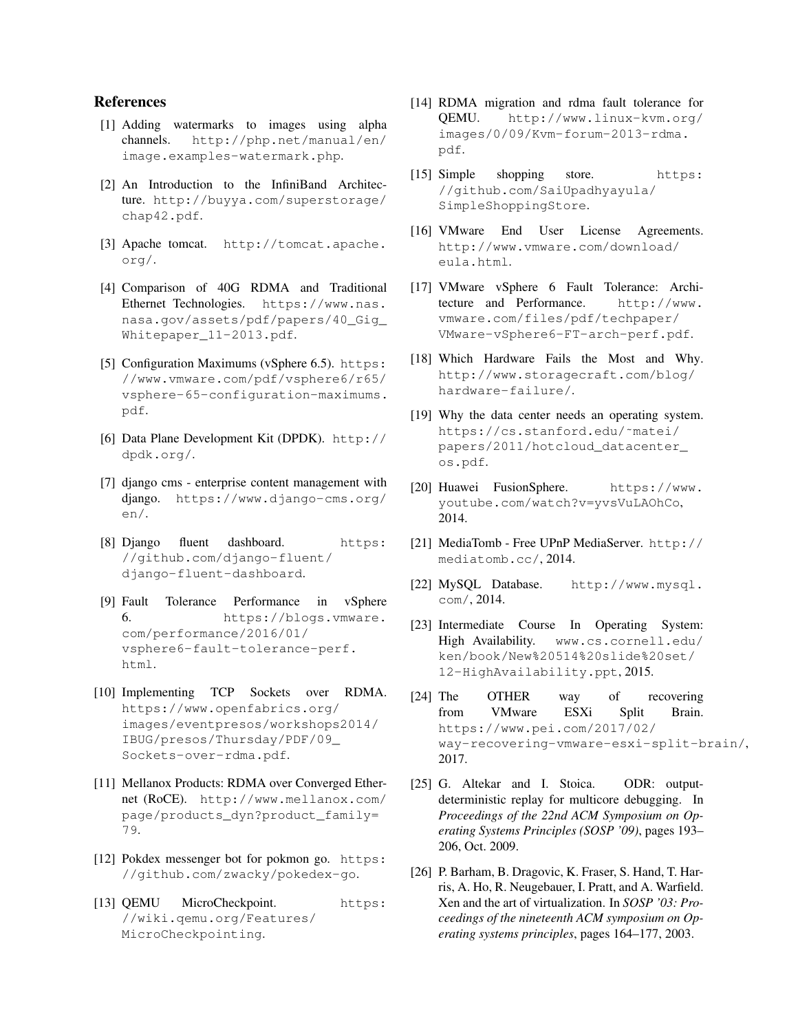# References

- <span id="page-12-21"></span>[1] Adding watermarks to images using alpha channels. [http://php.net/manual/en/](http://php.net/manual/en/image.examples-watermark.php) [image.examples-watermark.php](http://php.net/manual/en/image.examples-watermark.php).
- <span id="page-12-8"></span>[2] An Introduction to the InfiniBand Architecture. [http://buyya.com/superstorage/](http://buyya.com/superstorage/chap42.pdf) [chap42.pdf](http://buyya.com/superstorage/chap42.pdf).
- <span id="page-12-5"></span>[3] Apache tomcat. [http://tomcat.apache.](http://tomcat.apache.org/) [org/](http://tomcat.apache.org/).
- <span id="page-12-11"></span>[4] Comparison of 40G RDMA and Traditional Ethernet Technologies. [https://www.nas.]( https://www.nas.nasa.gov/assets/pdf/papers/40_Gig_Whitepaper_11-2013.pdf) [nasa.gov/assets/pdf/papers/40\\_Gig\\_]( https://www.nas.nasa.gov/assets/pdf/papers/40_Gig_Whitepaper_11-2013.pdf) [Whitepaper\\_11-2013.pdf]( https://www.nas.nasa.gov/assets/pdf/papers/40_Gig_Whitepaper_11-2013.pdf).
- <span id="page-12-3"></span>[5] Configuration Maximums (vSphere 6.5). [https:]( https://www.vmware.com/pdf/vsphere6/r65/vsphere-65-configuration-maximums.pdf) [//www.vmware.com/pdf/vsphere6/r65/]( https://www.vmware.com/pdf/vsphere6/r65/vsphere-65-configuration-maximums.pdf) [vsphere-65-configuration-maximums.]( https://www.vmware.com/pdf/vsphere6/r65/vsphere-65-configuration-maximums.pdf) [pdf]( https://www.vmware.com/pdf/vsphere6/r65/vsphere-65-configuration-maximums.pdf).
- <span id="page-12-10"></span>[6] Data Plane Development Kit (DPDK). [http://](http://dpdk.org/) [dpdk.org/](http://dpdk.org/).
- <span id="page-12-6"></span>[7] django cms - enterprise content management with django. [https://www.django-cms.org/](https://www.django-cms.org/en/) [en/](https://www.django-cms.org/en/).
- <span id="page-12-19"></span>[8] Django fluent dashboard. [https:](https://github.com/django-fluent/django-fluent-dashboard) [//github.com/django-fluent/](https://github.com/django-fluent/django-fluent-dashboard) [django-fluent-dashboard](https://github.com/django-fluent/django-fluent-dashboard).
- <span id="page-12-15"></span>[9] Fault Tolerance Performance in vSphere 6. [https://blogs.vmware.]( https://blogs.vmware.com/performance/2016/01/vsphere6-fault-tolerance-perf.html) [com/performance/2016/01/]( https://blogs.vmware.com/performance/2016/01/vsphere6-fault-tolerance-perf.html) [vsphere6-fault-tolerance-perf.]( https://blogs.vmware.com/performance/2016/01/vsphere6-fault-tolerance-perf.html) [html]( https://blogs.vmware.com/performance/2016/01/vsphere6-fault-tolerance-perf.html).
- <span id="page-12-12"></span>[10] Implementing TCP Sockets over RDMA. [https://www.openfabrics.org/]( https://www.openfabrics.org/images/eventpresos/workshops2014/IBUG/presos/Thursda y/PDF/09_Sockets-over-rdma.pdf) [images/eventpresos/workshops2014/]( https://www.openfabrics.org/images/eventpresos/workshops2014/IBUG/presos/Thursda y/PDF/09_Sockets-over-rdma.pdf) [IBUG/presos/Thursday/PDF/09\\_]( https://www.openfabrics.org/images/eventpresos/workshops2014/IBUG/presos/Thursda y/PDF/09_Sockets-over-rdma.pdf) [Sockets-over-rdma.pdf]( https://www.openfabrics.org/images/eventpresos/workshops2014/IBUG/presos/Thursda y/PDF/09_Sockets-over-rdma.pdf).
- <span id="page-12-9"></span>[11] Mellanox Products: RDMA over Converged Ethernet (RoCE). [http://www.mellanox.com/](http://www.mellanox.com/page/products_dyn?product_family=79) [page/products\\_dyn?product\\_family=](http://www.mellanox.com/page/products_dyn?product_family=79) [79](http://www.mellanox.com/page/products_dyn?product_family=79).
- <span id="page-12-22"></span>[12] Pokdex messenger bot for pokmon go. [https:](https://github.com/zwacky/pokedex-go) [//github.com/zwacky/pokedex-go](https://github.com/zwacky/pokedex-go).
- <span id="page-12-2"></span>[13] QEMU MicroCheckpoint. [https:]( https://wiki.qemu.org/Features/MicroCheckpointing ) [//wiki.qemu.org/Features/]( https://wiki.qemu.org/Features/MicroCheckpointing ) [MicroCheckpointing]( https://wiki.qemu.org/Features/MicroCheckpointing ).
- <span id="page-12-13"></span>[14] RDMA migration and rdma fault tolerance for QEMU. [http://www.linux-kvm.org/]( http://www.linux-kvm.org/images/0/09/Kvm-forum-2013-rdma.pdf ) [images/0/09/Kvm-forum-2013-rdma.]( http://www.linux-kvm.org/images/0/09/Kvm-forum-2013-rdma.pdf ) [pdf]( http://www.linux-kvm.org/images/0/09/Kvm-forum-2013-rdma.pdf ).
- <span id="page-12-20"></span>[15] Simple shopping store. [https:](https://github.com/SaiUpadhyayula/SimpleShoppingStore) [//github.com/SaiUpadhyayula/](https://github.com/SaiUpadhyayula/SimpleShoppingStore) [SimpleShoppingStore](https://github.com/SaiUpadhyayula/SimpleShoppingStore).
- <span id="page-12-23"></span>[16] VMware End User License Agreements. [http://www.vmware.com/download/]( http://www.vmware.com/download/eula.html ) [eula.html]( http://www.vmware.com/download/eula.html ).
- <span id="page-12-4"></span>[17] VMware vSphere 6 Fault Tolerance: Architecture and Performance. [http://www.]( http://www.vmware.com/files/pdf/techpaper/VMware-vSphere6-FT-arch-perf.pdf) [vmware.com/files/pdf/techpaper/]( http://www.vmware.com/files/pdf/techpaper/VMware-vSphere6-FT-arch-perf.pdf) [VMware-vSphere6-FT-arch-perf.pdf]( http://www.vmware.com/files/pdf/techpaper/VMware-vSphere6-FT-arch-perf.pdf).
- <span id="page-12-1"></span>[18] Which Hardware Fails the Most and Why. [http://www.storagecraft.com/blog/]( http://www.storagecraft.com/blog/hardware-failure/) [hardware-failure/]( http://www.storagecraft.com/blog/hardware-failure/).
- <span id="page-12-24"></span>[19] Why the data center needs an operating system. [https://cs.stanford.edu/˜matei/]( https://cs.stanford.edu/~matei/papers/2011/hotcloud_datacenter_os.pdf) [papers/2011/hotcloud\\_datacenter\\_]( https://cs.stanford.edu/~matei/papers/2011/hotcloud_datacenter_os.pdf) [os.pdf]( https://cs.stanford.edu/~matei/papers/2011/hotcloud_datacenter_os.pdf).
- <span id="page-12-14"></span>[20] Huawei FusionSphere. [https://www.](https://www.youtube.com/watch?v=yvsVuLAOhCo) [youtube.com/watch?v=yvsVuLAOhCo](https://www.youtube.com/watch?v=yvsVuLAOhCo), 2014.
- <span id="page-12-18"></span>[21] MediaTomb - Free UPnP MediaServer. [http://](http://mediatomb.cc/) [mediatomb.cc/](http://mediatomb.cc/), 2014.
- <span id="page-12-7"></span>[22] MySQL Database. [http://www.mysql.](http://www.mysql.com/) [com/](http://www.mysql.com/), 2014.
- <span id="page-12-16"></span>[23] Intermediate Course In Operating System: High Availability. [www.cs.cornell.edu/](www.cs.cornell.edu/ken/book/New%20514%20slide%20set/12-HighAvailability.ppt) [ken/book/New%20514%20slide%20set/](www.cs.cornell.edu/ken/book/New%20514%20slide%20set/12-HighAvailability.ppt) [12-HighAvailability.ppt](www.cs.cornell.edu/ken/book/New%20514%20slide%20set/12-HighAvailability.ppt), 2015.
- <span id="page-12-17"></span>[24] The OTHER way of recovering from VMware ESXi Split Brain. [https://www.pei.com/2017/02/](https://www.pei.com/2017/02/way-recovering-vmware-esxi-split-brain/) [way-recovering-vmware-esxi-split-brain/](https://www.pei.com/2017/02/way-recovering-vmware-esxi-split-brain/), 2017.
- <span id="page-12-25"></span>[25] G. Altekar and I. Stoica. ODR: outputdeterministic replay for multicore debugging. In *Proceedings of the 22nd ACM Symposium on Operating Systems Principles (SOSP '09)*, pages 193– 206, Oct. 2009.
- <span id="page-12-0"></span>[26] P. Barham, B. Dragovic, K. Fraser, S. Hand, T. Harris, A. Ho, R. Neugebauer, I. Pratt, and A. Warfield. Xen and the art of virtualization. In *SOSP '03: Proceedings of the nineteenth ACM symposium on Operating systems principles*, pages 164–177, 2003.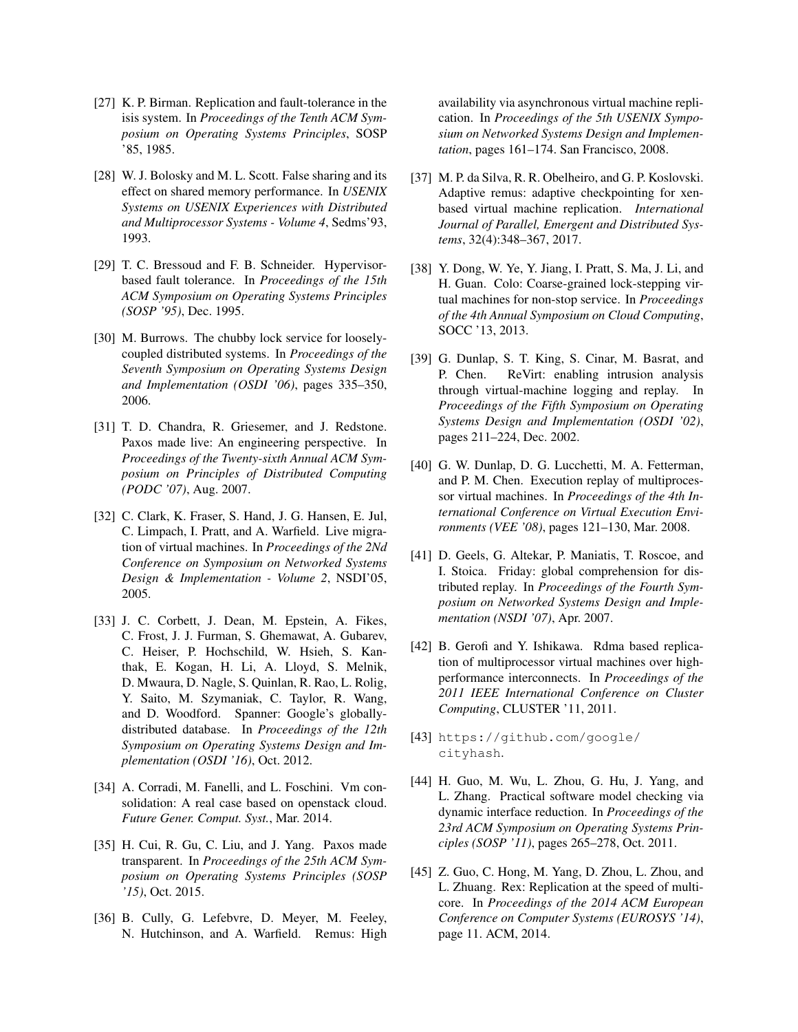- <span id="page-13-12"></span>[27] K. P. Birman. Replication and fault-tolerance in the isis system. In *Proceedings of the Tenth ACM Symposium on Operating Systems Principles*, SOSP '85, 1985.
- <span id="page-13-7"></span>[28] W. J. Bolosky and M. L. Scott. False sharing and its effect on shared memory performance. In *USENIX Systems on USENIX Experiences with Distributed and Multiprocessor Systems - Volume 4*, Sedms'93, 1993.
- <span id="page-13-9"></span>[29] T. C. Bressoud and F. B. Schneider. Hypervisorbased fault tolerance. In *Proceedings of the 15th ACM Symposium on Operating Systems Principles (SOSP '95)*, Dec. 1995.
- <span id="page-13-13"></span>[30] M. Burrows. The chubby lock service for looselycoupled distributed systems. In *Proceedings of the Seventh Symposium on Operating Systems Design and Implementation (OSDI '06)*, pages 335–350, 2006.
- <span id="page-13-14"></span>[31] T. D. Chandra, R. Griesemer, and J. Redstone. Paxos made live: An engineering perspective. In *Proceedings of the Twenty-sixth Annual ACM Symposium on Principles of Distributed Computing (PODC '07)*, Aug. 2007.
- <span id="page-13-8"></span>[32] C. Clark, K. Fraser, S. Hand, J. G. Hansen, E. Jul, C. Limpach, I. Pratt, and A. Warfield. Live migration of virtual machines. In *Proceedings of the 2Nd Conference on Symposium on Networked Systems Design & Implementation - Volume 2*, NSDI'05, 2005.
- <span id="page-13-15"></span>[33] J. C. Corbett, J. Dean, M. Epstein, A. Fikes, C. Frost, J. J. Furman, S. Ghemawat, A. Gubarev, C. Heiser, P. Hochschild, W. Hsieh, S. Kanthak, E. Kogan, H. Li, A. Lloyd, S. Melnik, D. Mwaura, D. Nagle, S. Quinlan, R. Rao, L. Rolig, Y. Saito, M. Szymaniak, C. Taylor, R. Wang, and D. Woodford. Spanner: Google's globallydistributed database. In *Proceedings of the 12th Symposium on Operating Systems Design and Implementation (OSDI '16)*, Oct. 2012.
- <span id="page-13-4"></span>[34] A. Corradi, M. Fanelli, and L. Foschini. Vm consolidation: A real case based on openstack cloud. *Future Gener. Comput. Syst.*, Mar. 2014.
- <span id="page-13-5"></span>[35] H. Cui, R. Gu, C. Liu, and J. Yang. Paxos made transparent. In *Proceedings of the 25th ACM Symposium on Operating Systems Principles (SOSP '15)*, Oct. 2015.
- <span id="page-13-0"></span>[36] B. Cully, G. Lefebvre, D. Meyer, M. Feeley, N. Hutchinson, and A. Warfield. Remus: High

availability via asynchronous virtual machine replication. In *Proceedings of the 5th USENIX Symposium on Networked Systems Design and Implementation*, pages 161–174. San Francisco, 2008.

- <span id="page-13-11"></span>[37] M. P. da Silva, R. R. Obelheiro, and G. P. Koslovski. Adaptive remus: adaptive checkpointing for xenbased virtual machine replication. *International Journal of Parallel, Emergent and Distributed Systems*, 32(4):348–367, 2017.
- <span id="page-13-2"></span>[38] Y. Dong, W. Ye, Y. Jiang, I. Pratt, S. Ma, J. Li, and H. Guan. Colo: Coarse-grained lock-stepping virtual machines for non-stop service. In *Proceedings of the 4th Annual Symposium on Cloud Computing*, SOCC '13, 2013.
- <span id="page-13-17"></span>[39] G. Dunlap, S. T. King, S. Cinar, M. Basrat, and P. Chen. ReVirt: enabling intrusion analysis through virtual-machine logging and replay. In *Proceedings of the Fifth Symposium on Operating Systems Design and Implementation (OSDI '02)*, pages 211–224, Dec. 2002.
- <span id="page-13-3"></span>[40] G. W. Dunlap, D. G. Lucchetti, M. A. Fetterman, and P. M. Chen. Execution replay of multiprocessor virtual machines. In *Proceedings of the 4th International Conference on Virtual Execution Environments (VEE '08)*, pages 121–130, Mar. 2008.
- <span id="page-13-18"></span>[41] D. Geels, G. Altekar, P. Maniatis, T. Roscoe, and I. Stoica. Friday: global comprehension for distributed replay. In *Proceedings of the Fourth Symposium on Networked Systems Design and Implementation (NSDI '07)*, Apr. 2007.
- <span id="page-13-1"></span>[42] B. Gerofi and Y. Ishikawa. Rdma based replication of multiprocessor virtual machines over highperformance interconnects. In *Proceedings of the 2011 IEEE International Conference on Cluster Computing*, CLUSTER '11, 2011.
- <span id="page-13-10"></span>[43] [https://github.com/google/]( https://github.com/google/cityhash ) [cityhash]( https://github.com/google/cityhash ).
- <span id="page-13-16"></span>[44] H. Guo, M. Wu, L. Zhou, G. Hu, J. Yang, and L. Zhang. Practical software model checking via dynamic interface reduction. In *Proceedings of the 23rd ACM Symposium on Operating Systems Principles (SOSP '11)*, pages 265–278, Oct. 2011.
- <span id="page-13-6"></span>[45] Z. Guo, C. Hong, M. Yang, D. Zhou, L. Zhou, and L. Zhuang. Rex: Replication at the speed of multicore. In *Proceedings of the 2014 ACM European Conference on Computer Systems (EUROSYS '14)*, page 11. ACM, 2014.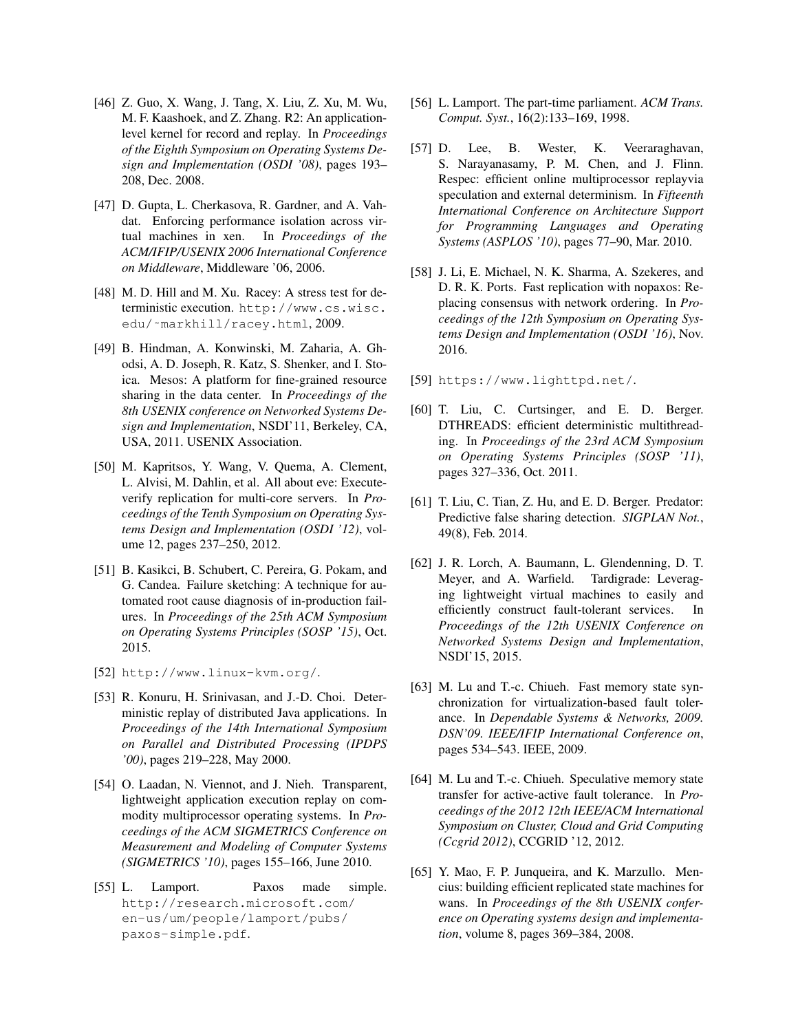- <span id="page-14-17"></span>[46] Z. Guo, X. Wang, J. Tang, X. Liu, Z. Xu, M. Wu, M. F. Kaashoek, and Z. Zhang. R2: An applicationlevel kernel for record and replay. In *Proceedings of the Eighth Symposium on Operating Systems Design and Implementation (OSDI '08)*, pages 193– 208, Dec. 2008.
- <span id="page-14-10"></span>[47] D. Gupta, L. Cherkasova, R. Gardner, and A. Vahdat. Enforcing performance isolation across virtual machines in xen. In *Proceedings of the ACM/IFIP/USENIX 2006 International Conference on Middleware*, Middleware '06, 2006.
- <span id="page-14-13"></span>[48] M. D. Hill and M. Xu. Racey: A stress test for deterministic execution. [http://www.cs.wisc.](http://www.cs.wisc.edu/~markhill/racey.html) edu/~markhill/racey.html, 2009.
- <span id="page-14-15"></span>[49] B. Hindman, A. Konwinski, M. Zaharia, A. Ghodsi, A. D. Joseph, R. Katz, S. Shenker, and I. Stoica. Mesos: A platform for fine-grained resource sharing in the data center. In *Proceedings of the 8th USENIX conference on Networked Systems Design and Implementation*, NSDI'11, Berkeley, CA, USA, 2011. USENIX Association.
- <span id="page-14-3"></span>[50] M. Kapritsos, Y. Wang, V. Quema, A. Clement, L. Alvisi, M. Dahlin, et al. All about eve: Executeverify replication for multi-core servers. In *Proceedings of the Tenth Symposium on Operating Systems Design and Implementation (OSDI '12)*, volume 12, pages 237–250, 2012.
- <span id="page-14-4"></span>[51] B. Kasikci, B. Schubert, C. Pereira, G. Pokam, and G. Candea. Failure sketching: A technique for automated root cause diagnosis of in-production failures. In *Proceedings of the 25th ACM Symposium on Operating Systems Principles (SOSP '15)*, Oct. 2015.
- <span id="page-14-9"></span>[52] <http://www.linux-kvm.org/>.
- <span id="page-14-18"></span>[53] R. Konuru, H. Srinivasan, and J.-D. Choi. Deterministic replay of distributed Java applications. In *Proceedings of the 14th International Symposium on Parallel and Distributed Processing (IPDPS '00)*, pages 219–228, May 2000.
- <span id="page-14-8"></span>[54] O. Laadan, N. Viennot, and J. Nieh. Transparent, lightweight application execution replay on commodity multiprocessor operating systems. In *Proceedings of the ACM SIGMETRICS Conference on Measurement and Modeling of Computer Systems (SIGMETRICS '10)*, pages 155–166, June 2010.
- <span id="page-14-11"></span>[55] L. Lamport. Paxos made simple. [http://research.microsoft.com/](http://research.microsoft.com/en-us/um/people/lamport/pubs/paxos-simple.pdf) [en-us/um/people/lamport/pubs/](http://research.microsoft.com/en-us/um/people/lamport/pubs/paxos-simple.pdf) [paxos-simple.pdf](http://research.microsoft.com/en-us/um/people/lamport/pubs/paxos-simple.pdf).
- <span id="page-14-2"></span>[56] L. Lamport. The part-time parliament. *ACM Trans. Comput. Syst.*, 16(2):133–169, 1998.
- <span id="page-14-19"></span>[57] D. Lee, B. Wester, K. Veeraraghavan, S. Narayanasamy, P. M. Chen, and J. Flinn. Respec: efficient online multiprocessor replayvia speculation and external determinism. In *Fifteenth International Conference on Architecture Support for Programming Languages and Operating Systems (ASPLOS '10)*, pages 77–90, Mar. 2010.
- <span id="page-14-5"></span>[58] J. Li, E. Michael, N. K. Sharma, A. Szekeres, and D. R. K. Ports. Fast replication with nopaxos: Replacing consensus with network ordering. In *Proceedings of the 12th Symposium on Operating Systems Design and Implementation (OSDI '16)*, Nov. 2016.
- <span id="page-14-12"></span>[59] <https://www.lighttpd.net/>.
- <span id="page-14-1"></span>[60] T. Liu, C. Curtsinger, and E. D. Berger. DTHREADS: efficient deterministic multithreading. In *Proceedings of the 23rd ACM Symposium on Operating Systems Principles (SOSP '11)*, pages 327–336, Oct. 2011.
- <span id="page-14-7"></span>[61] T. Liu, C. Tian, Z. Hu, and E. D. Berger. Predator: Predictive false sharing detection. *SIGPLAN Not.*, 49(8), Feb. 2014.
- <span id="page-14-14"></span>[62] J. R. Lorch, A. Baumann, L. Glendenning, D. T. Meyer, and A. Warfield. Tardigrade: Leveraging lightweight virtual machines to easily and efficiently construct fault-tolerant services. In *Proceedings of the 12th USENIX Conference on Networked Systems Design and Implementation*, NSDI'15, 2015.
- <span id="page-14-6"></span>[63] M. Lu and T.-c. Chiueh. Fast memory state synchronization for virtualization-based fault tolerance. In *Dependable Systems & Networks, 2009. DSN'09. IEEE/IFIP International Conference on*, pages 534–543. IEEE, 2009.
- <span id="page-14-0"></span>[64] M. Lu and T.-c. Chiueh. Speculative memory state transfer for active-active fault tolerance. In *Proceedings of the 2012 12th IEEE/ACM International Symposium on Cluster, Cloud and Grid Computing (Ccgrid 2012)*, CCGRID '12, 2012.
- <span id="page-14-16"></span>[65] Y. Mao, F. P. Junqueira, and K. Marzullo. Mencius: building efficient replicated state machines for wans. In *Proceedings of the 8th USENIX conference on Operating systems design and implementation*, volume 8, pages 369–384, 2008.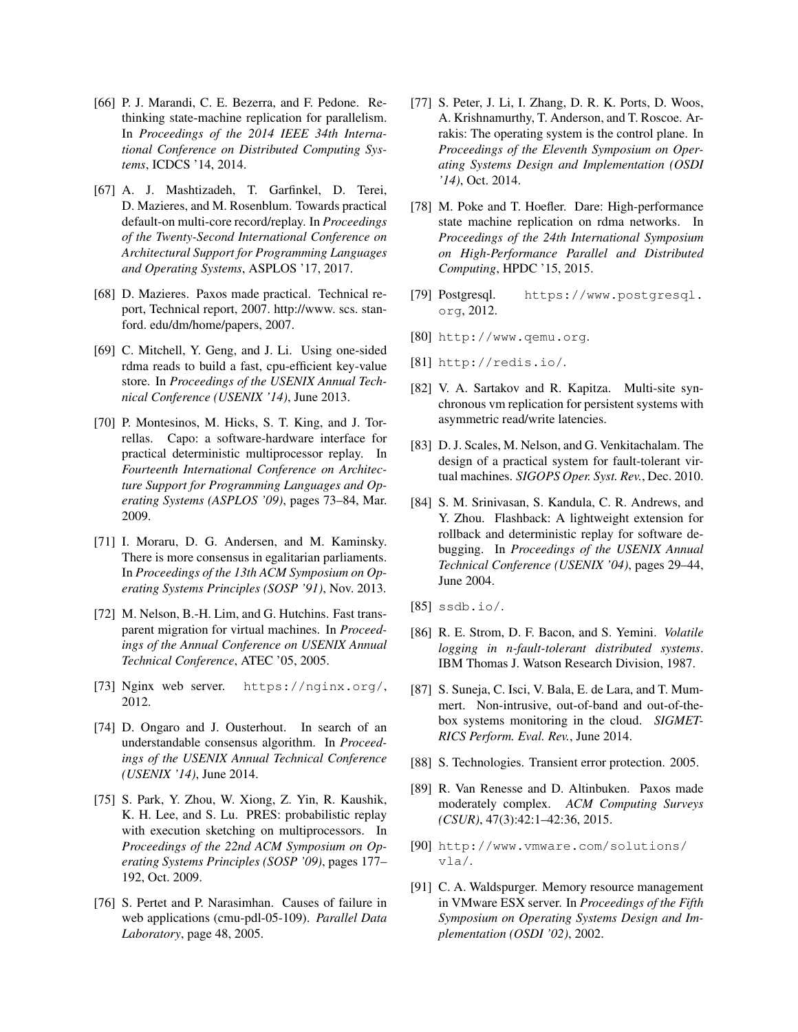- <span id="page-15-22"></span>[66] P. J. Marandi, C. E. Bezerra, and F. Pedone. Rethinking state-machine replication for parallelism. In *Proceedings of the 2014 IEEE 34th International Conference on Distributed Computing Systems*, ICDCS '14, 2014.
- <span id="page-15-7"></span>[67] A. J. Mashtizadeh, T. Garfinkel, D. Terei, D. Mazieres, and M. Rosenblum. Towards practical default-on multi-core record/replay. In *Proceedings of the Twenty-Second International Conference on Architectural Support for Programming Languages and Operating Systems*, ASPLOS '17, 2017.
- <span id="page-15-1"></span>[68] D. Mazieres. Paxos made practical. Technical report, Technical report, 2007. http://www. scs. stanford. edu/dm/home/papers, 2007.
- <span id="page-15-16"></span>[69] C. Mitchell, Y. Geng, and J. Li. Using one-sided rdma reads to build a fast, cpu-efficient key-value store. In *Proceedings of the USENIX Annual Technical Conference (USENIX '14)*, June 2013.
- <span id="page-15-23"></span>[70] P. Montesinos, M. Hicks, S. T. King, and J. Torrellas. Capo: a software-hardware interface for practical deterministic multiprocessor replay. In *Fourteenth International Conference on Architecture Support for Programming Languages and Operating Systems (ASPLOS '09)*, pages 73–84, Mar. 2009.
- <span id="page-15-15"></span>[71] I. Moraru, D. G. Andersen, and M. Kaminsky. There is more consensus in egalitarian parliaments. In *Proceedings of the 13th ACM Symposium on Operating Systems Principles (SOSP '91)*, Nov. 2013.
- <span id="page-15-11"></span>[72] M. Nelson, B.-H. Lim, and G. Hutchins. Fast transparent migration for virtual machines. In *Proceedings of the Annual Conference on USENIX Annual Technical Conference*, ATEC '05, 2005.
- <span id="page-15-6"></span>[73] Nginx web server. <https://nginx.org/>, 2012.
- <span id="page-15-14"></span>[74] D. Ongaro and J. Ousterhout. In search of an understandable consensus algorithm. In *Proceedings of the USENIX Annual Technical Conference (USENIX '14)*, June 2014.
- <span id="page-15-2"></span>[75] S. Park, Y. Zhou, W. Xiong, Z. Yin, R. Kaushik, K. H. Lee, and S. Lu. PRES: probabilistic replay with execution sketching on multiprocessors. In *Proceedings of the 22nd ACM Symposium on Operating Systems Principles (SOSP '09)*, pages 177– 192, Oct. 2009.
- <span id="page-15-19"></span>[76] S. Pertet and P. Narasimhan. Causes of failure in web applications (cmu-pdl-05-109). *Parallel Data Laboratory*, page 48, 2005.
- <span id="page-15-8"></span>[77] S. Peter, J. Li, I. Zhang, D. R. K. Ports, D. Woos, A. Krishnamurthy, T. Anderson, and T. Roscoe. Arrakis: The operating system is the control plane. In *Proceedings of the Eleventh Symposium on Operating Systems Design and Implementation (OSDI '14)*, Oct. 2014.
- <span id="page-15-4"></span>[78] M. Poke and T. Hoefler. Dare: High-performance state machine replication on rdma networks. In *Proceedings of the 24th International Symposium on High-Performance Parallel and Distributed Computing*, HPDC '15, 2015.
- <span id="page-15-18"></span>[79] Postgresql. [https://www.postgresql.](https://www.postgresql.org) [org](https://www.postgresql.org), 2012.
- <span id="page-15-3"></span>[80] <http://www.qemu.org>.
- <span id="page-15-17"></span>[81] <http://redis.io/>.
- <span id="page-15-0"></span>[82] V. A. Sartakov and R. Kapitza. Multi-site synchronous vm replication for persistent systems with asymmetric read/write latencies.
- <span id="page-15-13"></span>[83] D. J. Scales, M. Nelson, and G. Venkitachalam. The design of a practical system for fault-tolerant virtual machines. *SIGOPS Oper. Syst. Rev.*, Dec. 2010.
- <span id="page-15-24"></span>[84] S. M. Srinivasan, S. Kandula, C. R. Andrews, and Y. Zhou. Flashback: A lightweight extension for rollback and deterministic replay for software debugging. In *Proceedings of the USENIX Annual Technical Conference (USENIX '04)*, pages 29–44, June 2004.
- <span id="page-15-5"></span> $[85]$  <ssdb.io/>.
- <span id="page-15-12"></span>[86] R. E. Strom, D. F. Bacon, and S. Yemini. *Volatile logging in n-fault-tolerant distributed systems*. IBM Thomas J. Watson Research Division, 1987.
- <span id="page-15-10"></span>[87] S. Suneja, C. Isci, V. Bala, E. de Lara, and T. Mummert. Non-intrusive, out-of-band and out-of-thebox systems monitoring in the cloud. *SIGMET-RICS Perform. Eval. Rev.*, June 2014.
- <span id="page-15-20"></span>[88] S. Technologies. Transient error protection. 2005.
- <span id="page-15-21"></span>[89] R. Van Renesse and D. Altinbuken. Paxos made moderately complex. *ACM Computing Surveys (CSUR)*, 47(3):42:1–42:36, 2015.
- <span id="page-15-25"></span>[90] [http://www.vmware.com/solutions/](http://www.vmware.com/solutions/vla/) [vla/](http://www.vmware.com/solutions/vla/).
- <span id="page-15-9"></span>[91] C. A. Waldspurger. Memory resource management in VMware ESX server. In *Proceedings of the Fifth Symposium on Operating Systems Design and Implementation (OSDI '02)*, 2002.